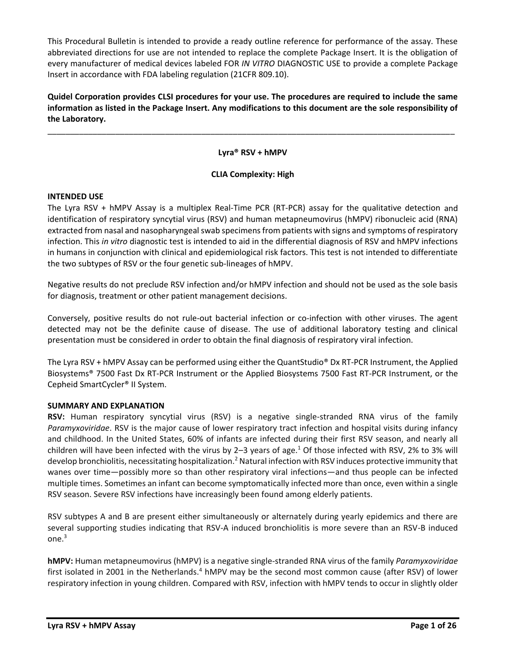This Procedural Bulletin is intended to provide a ready outline reference for performance of the assay. These abbreviated directions for use are not intended to replace the complete Package Insert. It is the obligation of every manufacturer of medical devices labeled FOR *IN VITRO* DIAGNOSTIC USE to provide a complete Package Insert in accordance with FDA labeling regulation (21CFR 809.10).

**Quidel Corporation provides CLSI procedures for your use. The procedures are required to include the same information as listed in the Package Insert. Any modifications to this document are the sole responsibility of the Laboratory.**

**Lyra® RSV + hMPV**

\_\_\_\_\_\_\_\_\_\_\_\_\_\_\_\_\_\_\_\_\_\_\_\_\_\_\_\_\_\_\_\_\_\_\_\_\_\_\_\_\_\_\_\_\_\_\_\_\_\_\_\_\_\_\_\_\_\_\_\_\_\_\_\_\_\_\_\_\_\_\_\_\_\_\_\_\_\_\_\_\_\_\_\_\_\_\_\_\_\_

# **CLIA Complexity: High**

### **INTENDED USE**

The Lyra RSV + hMPV Assay is a multiplex Real‐Time PCR (RT‐PCR) assay for the qualitative detection and identification of respiratory syncytial virus (RSV) and human metapneumovirus (hMPV) ribonucleic acid (RNA) extracted from nasal and nasopharyngeal swab specimens from patients with signs and symptoms of respiratory infection. This *in vitro* diagnostic test is intended to aid in the differential diagnosis of RSV and hMPV infections in humans in conjunction with clinical and epidemiological risk factors. This test is not intended to differentiate the two subtypes of RSV or the four genetic sub‐lineages of hMPV.

Negative results do not preclude RSV infection and/or hMPV infection and should not be used as the sole basis for diagnosis, treatment or other patient management decisions.

Conversely, positive results do not rule‐out bacterial infection or co‐infection with other viruses. The agent detected may not be the definite cause of disease. The use of additional laboratory testing and clinical presentation must be considered in order to obtain the final diagnosis of respiratory viral infection.

The Lyra RSV + hMPV Assay can be performed using either the QuantStudio® Dx RT-PCR Instrument, the Applied Biosystems® 7500 Fast Dx RT‐PCR Instrument or the Applied Biosystems 7500 Fast RT-PCR Instrument, or the Cepheid SmartCycler® II System.

## **SUMMARY AND EXPLANATION**

**RSV:** Human respiratory syncytial virus (RSV) is a negative single-stranded [RNA virus](http://en.wikipedia.org/wiki/RNA_virus) of the family *[Paramyxoviridae](http://en.wikipedia.org/wiki/Paramyxoviridae)*. RSV is the major cause of lower respiratory tract infection and hospital visits during infancy and childhood. In the United States, 60% of infants are infected during their first RSV season, and nearly all children will have been infected with the virus by 2-3 years of age.<sup>1</sup> Of those infected with RSV, 2% to 3% will develo[p bronchiolitis,](http://en.wikipedia.org/wiki/Bronchiolitis) necessitating hospitalization.<sup>2</sup> Natural infection with RSV induces protective immunity that wanes over time—possibly more so than other respiratory viral infections—and thus people can be infected multiple times. Sometimes an infant can become symptomatically infected more than once, even within a single RSV season. Severe RSV infections have increasingly been found among elderly patients.

RSV subtypes A and B are present either simultaneously or alternately during yearly epidemics and there are several supporting studies indicating that RSV-A induced bronchiolitis is more severe than an RSV-B induced one.<sup>3</sup>

**hMPV:** Human metapneumovirus (hMPV) is a negative single-stranded [RNA](http://en.wikipedia.org/wiki/RNA) [virus](http://en.wikipedia.org/wiki/Virus) of the family *[Paramyxoviridae](http://en.wikipedia.org/wiki/Paramyxoviridae)* first isolated in 2001 in the Netherlands.<sup>4</sup> hMPV may be the second most common cause (after RSV) of lower respiratory infection in young children. Compared with RSV, infection with hMPV tends to occur in slightly older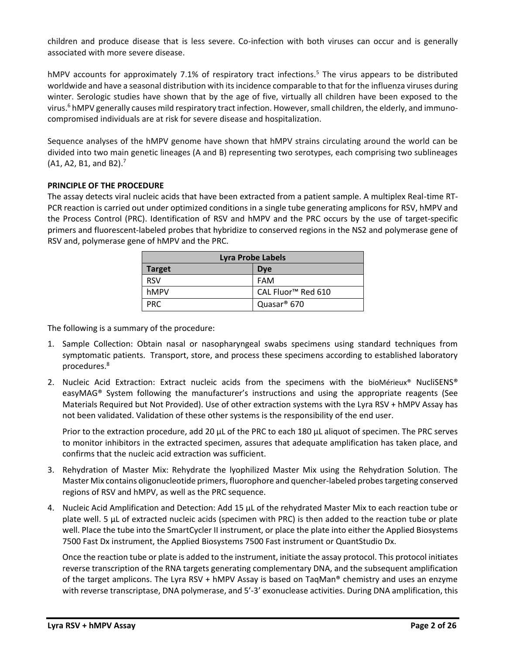children and produce disease that is less severe. Co-infection with both viruses can occur and is generally associated with more severe disease.

hMPV accounts for approximately 7.1% of respiratory tract infections.<sup>5</sup> The virus appears to be distributed worldwide and have a seasonal distribution with its incidence comparable to that for th[e influenza](http://en.wikipedia.org/wiki/Influenza) viruses during winter. [Serologic](http://en.wikipedia.org/wiki/Serologic) studies have shown that by the age of five, virtually all children have been exposed to the virus.<sup>6</sup> hMPV generally causes mild respiratory tract infection. However, small children, the elderly, and immunocompromised individuals are at risk for severe disease and hospitalization.

Sequence analyses of the hMPV genome have shown that hMPV strains circulating around the world can be divided into two main genetic lineages (A and B) representing two serotypes, each comprising two sublineages  $(A1, A2, B1, and B2).$ <sup>7</sup>

## **PRINCIPLE OF THE PROCEDURE**

The assay detects viral nucleic acids that have been extracted from a patient sample. A multiplex Real-time RT-PCR reaction is carried out under optimized conditions in a single tube generating amplicons for RSV, hMPV and the Process Control (PRC). Identification of RSV and hMPV and the PRC occurs by the use of target-specific primers and fluorescent-labeled probes that hybridize to conserved regions in the NS2 and polymerase gene of RSV and, polymerase gene of hMPV and the PRC.

| <b>Lyra Probe Labels</b>    |                                |  |  |  |  |
|-----------------------------|--------------------------------|--|--|--|--|
| <b>Target</b><br><b>Dye</b> |                                |  |  |  |  |
| <b>RSV</b>                  | <b>FAM</b>                     |  |  |  |  |
| hMPV                        | CAL Fluor <sup>™</sup> Red 610 |  |  |  |  |
| PRC.                        | Quasar <sup>®</sup> 670        |  |  |  |  |

The following is a summary of the procedure:

- 1. Sample Collection: Obtain nasal or nasopharyngeal swabs specimens using standard techniques from symptomatic patients. Transport, store, and process these specimens according to established laboratory procedures.<sup>8</sup>
- 2. Nucleic Acid Extraction: Extract nucleic acids from the specimens with the bioMérieux® NucliSENS® easyMAG® System following the manufacturer's instructions and using the appropriate reagents (See Materials Required but Not Provided). Use of other extraction systems with the Lyra RSV + hMPV Assay has not been validated. Validation of these other systems is the responsibility of the end user.

Prior to the extraction procedure, add 20  $\mu$ L of the PRC to each 180  $\mu$ L aliquot of specimen. The PRC serves to monitor inhibitors in the extracted specimen, assures that adequate amplification has taken place, and confirms that the nucleic acid extraction was sufficient.

- 3. Rehydration of Master Mix: Rehydrate the lyophilized Master Mix using the Rehydration Solution. The Master Mix contains oligonucleotide primers, fluorophore and quencher-labeled probes targeting conserved regions of RSV and hMPV, as well as the PRC sequence.
- 4. Nucleic Acid Amplification and Detection: Add 15 µL of the rehydrated Master Mix to each reaction tube or plate well. 5 µL of extracted nucleic acids (specimen with PRC) is then added to the reaction tube or plate well. Place the tube into the SmartCycler II instrument, or place the plate into either the Applied Biosystems 7500 Fast Dx instrument, the Applied Biosystems 7500 Fast instrument or QuantStudio Dx.

Once the reaction tube or plate is added to the instrument, initiate the assay protocol. This protocol initiates reverse transcription of the RNA targets generating complementary DNA, and the subsequent amplification of the target amplicons. The Lyra RSV + hMPV Assay is based on TaqMan<sup>®</sup> chemistry and uses an enzyme with reverse transcriptase, DNA polymerase, and 5'-3' exonuclease activities. During DNA amplification, this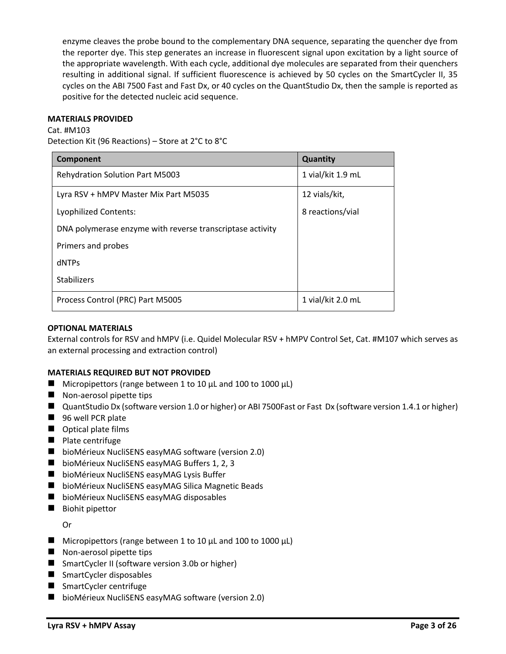enzyme cleaves the probe bound to the complementary DNA sequence, separating the quencher dye from the reporter dye. This step generates an increase in fluorescent signal upon excitation by a light source of the appropriate wavelength. With each cycle, additional dye molecules are separated from their quenchers resulting in additional signal. If sufficient fluorescence is achieved by 50 cycles on the SmartCycler II, 35 cycles on the ABI 7500 Fast and Fast Dx, or 40 cycles on the QuantStudio Dx, then the sample is reported as positive for the detected nucleic acid sequence.

### **MATERIALS PROVIDED**

Cat. #M103

Detection Kit (96 Reactions) – Store at 2°C to 8°C

| Component                                                 | Quantity          |  |  |  |  |
|-----------------------------------------------------------|-------------------|--|--|--|--|
| <b>Rehydration Solution Part M5003</b>                    | 1 vial/kit 1.9 mL |  |  |  |  |
| Lyra RSV + hMPV Master Mix Part M5035                     | 12 vials/kit,     |  |  |  |  |
| <b>Lyophilized Contents:</b>                              | 8 reactions/vial  |  |  |  |  |
| DNA polymerase enzyme with reverse transcriptase activity |                   |  |  |  |  |
| Primers and probes                                        |                   |  |  |  |  |
| dNTPs                                                     |                   |  |  |  |  |
| <b>Stabilizers</b>                                        |                   |  |  |  |  |
| Process Control (PRC) Part M5005                          | 1 vial/kit 2.0 mL |  |  |  |  |

## **OPTIONAL MATERIALS**

External controls for RSV and hMPV (i.e. Quidel Molecular RSV + hMPV Control Set, Cat. #M107 which serves as an external processing and extraction control)

## **MATERIALS REQUIRED BUT NOT PROVIDED**

- $\blacksquare$  Micropipettors (range between 1 to 10 μL and 100 to 1000 μL)
- Non-aerosol pipette tips
- QuantStudio Dx (software version 1.0 or higher) or ABI 7500Fast or Fast Dx (software version 1.4.1 or higher)
- 96 well PCR plate
- Optical plate films
- Plate centrifuge
- bioMérieux NucliSENS easyMAG software (version 2.0)
- bioMérieux NucliSENS easyMAG Buffers 1, 2, 3
- bioMérieux NucliSENS easyMAG Lysis Buffer
- bioMérieux NucliSENS easyMAG Silica Magnetic Beads
- bioMérieux NucliSENS easyMAG disposables
- Biohit pipettor

Or

- $\blacksquare$  Micropipettors (range between 1 to 10 μL and 100 to 1000 μL)
- Non-aerosol pipette tips
- SmartCycler II (software version 3.0b or higher)
- SmartCycler disposables
- SmartCycler centrifuge
- bioMérieux NucliSENS easyMAG software (version 2.0)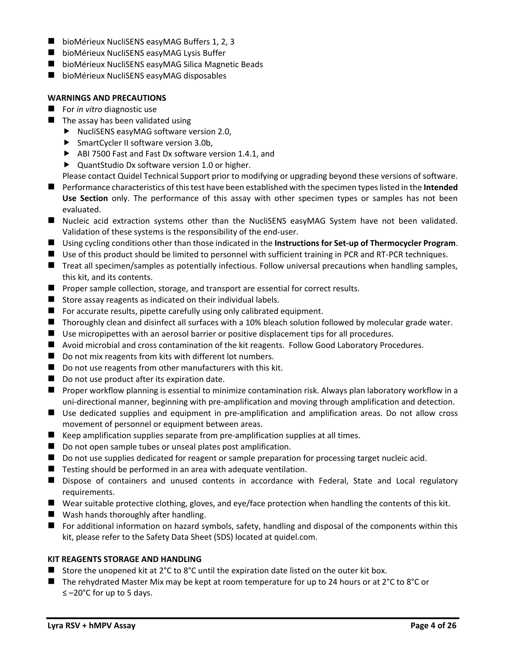- bioMérieux NucliSENS easyMAG Buffers 1, 2, 3
- bioMérieux NucliSENS easyMAG Lysis Buffer
- bioMérieux NucliSENS easyMAG Silica Magnetic Beads
- bioMérieux NucliSENS easyMAG disposables

## **WARNINGS AND PRECAUTIONS**

- For *in vitro* diagnostic use
- $\blacksquare$  The assay has been validated using
	- NucliSENS easyMAG software version 2.0,
	- ▶ SmartCycler II software version 3.0b,
	- ABI 7500 Fast and Fast Dx software version 1.4.1, and
	- ▶ QuantStudio Dx software version 1.0 or higher.
	- Please contact Quidel Technical Support prior to modifying or upgrading beyond these versions of software.
- Performance characteristics of this test have been established with the specimen types listed in the **Intended Use Section** only. The performance of this assay with other specimen types or samples has not been evaluated.
- Nucleic acid extraction systems other than the NucliSENS easyMAG System have not been validated. Validation of these systems is the responsibility of the end-user.
- Using cycling conditions other than those indicated in the **Instructions for Set-up of Thermocycler Program**.
- Use of this product should be limited to personnel with sufficient training in PCR and RT-PCR techniques.
- Treat all specimen/samples as potentially infectious. Follow universal precautions when handling samples, this kit, and its contents.
- Proper sample collection, storage, and transport are essential for correct results.
- Store assay reagents as indicated on their individual labels.
- $\blacksquare$  For accurate results, pipette carefully using only calibrated equipment.
- Thoroughly clean and disinfect all surfaces with a 10% bleach solution followed by molecular grade water.
- Use micropipettes with an aerosol barrier or positive displacement tips for all procedures.
- Avoid microbial and cross contamination of the kit reagents. Follow Good Laboratory Procedures.
- Do not mix reagents from kits with different lot numbers.
- Do not use reagents from other manufacturers with this kit.
- Do not use product after its expiration date.
- Proper workflow planning is essential to minimize contamination risk. Always plan laboratory workflow in a uni-directional manner, beginning with pre-amplification and moving through amplification and detection.
- Use dedicated supplies and equipment in pre-amplification and amplification areas. Do not allow cross movement of personnel or equipment between areas.
- Keep amplification supplies separate from pre-amplification supplies at all times.
- Do not open sample tubes or unseal plates post amplification.
- Do not use supplies dedicated for reagent or sample preparation for processing target nucleic acid.
- $\blacksquare$  Testing should be performed in an area with adequate ventilation.
- Dispose of containers and unused contents in accordance with Federal, State and Local regulatory requirements.
- Wear suitable protective clothing, gloves, and eye/face protection when handling the contents of this kit.
- Wash hands thoroughly after handling.
- For additional information on hazard symbols, safety, handling and disposal of the components within this kit, please refer to the Safety Data Sheet (SDS) located at quidel.com.

# **KIT REAGENTS STORAGE AND HANDLING**

- Store the unopened kit at  $2^{\circ}$ C to  $8^{\circ}$ C until the expiration date listed on the outer kit box.
- $\blacksquare$  The rehydrated Master Mix may be kept at room temperature for up to 24 hours or at 2°C to 8°C or ≤ –20°C for up to 5 days.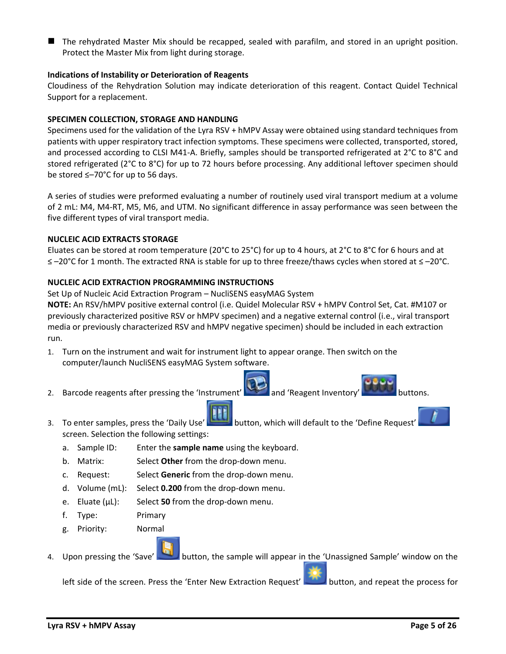The rehydrated Master Mix should be recapped, sealed with parafilm, and stored in an upright position. Protect the Master Mix from light during storage.

## **Indications of Instability or Deterioration of Reagents**

Cloudiness of the Rehydration Solution may indicate deterioration of this reagent. Contact Quidel Technical Support for a replacement.

## **SPECIMEN COLLECTION, STORAGE AND HANDLING**

Specimens used for the validation of the Lyra RSV + hMPV Assay were obtained using standard techniques from patients with upper respiratory tract infection symptoms. These specimens were collected, transported, stored, and processed according to CLSI M41-A. Briefly, samples should be transported refrigerated at 2°C to 8°C and stored refrigerated (2°C to 8°C) for up to 72 hours before processing. Any additional leftover specimen should be stored ≤–70°C for up to 56 days.

A series of studies were preformed evaluating a number of routinely used viral transport medium at a volume of 2 mL: M4, M4-RT, M5, M6, and UTM. No significant difference in assay performance was seen between the five different types of viral transport media.

## **NUCLEIC ACID EXTRACTS STORAGE**

Eluates can be stored at room temperature (20°C to 25°C) for up to 4 hours, at 2°C to 8°C for 6 hours and at ≤ –20°C for 1 month. The extracted RNA is stable for up to three freeze/thaws cycles when stored at ≤ –20°C.

# **NUCLEIC ACID EXTRACTION PROGRAMMING INSTRUCTIONS**

Set Up of Nucleic Acid Extraction Program – NucliSENS easyMAG System

**NOTE:** An RSV/hMPV positive external control (i.e. Quidel Molecular RSV + hMPV Control Set, Cat. #M107 or previously characterized positive RSV or hMPV specimen) and a negative external control (i.e., viral transport media or previously characterized RSV and hMPV negative specimen) should be included in each extraction run.

- 1. Turn on the instrument and wait for instrument light to appear orange. Then switch on the computer/launch NucliSENS easyMAG System software.
- 2. Barcode reagents after pressing the 'Instrument' and 'Reagent Inventory' buttons.
- 3. To enter samples, press the 'Daily Use' button, which will default to the 'Define Request' screen. Selection the following settings:
	- a. Sample ID: Enter the **sample name** using the keyboard.
	- b. Matrix: Select **Other** from the drop-down menu.
	- c. Request: Select **Generic** from the drop-down menu.
	- d. Volume (mL): Select **0.200** from the drop-down menu.
	- e. Eluate (µL): Select **50** from the drop-down menu.
	- f. Type: Primary
	- g. Priority: Normal
- 4. Upon pressing the 'Save' button, the sample will appear in the 'Unassigned Sample' window on the

left side of the screen. Press the 'Enter New Extraction Request' button, and repeat the process for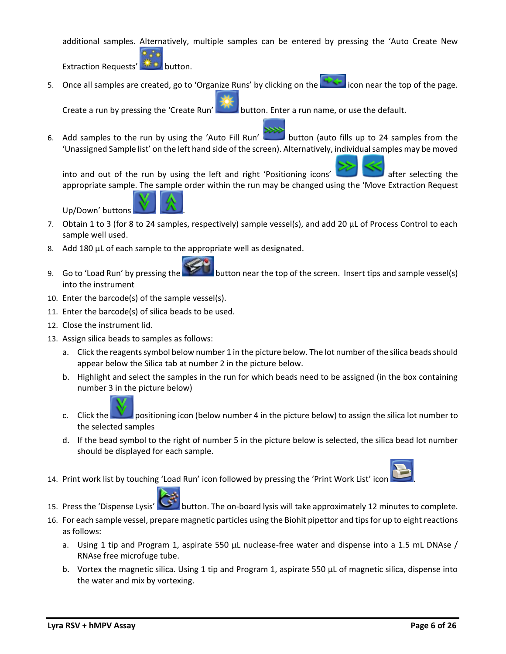additional samples. Alternatively, multiple samples can be entered by pressing the 'Auto Create New

Extraction Requests' **AN Extraction.** 

5. Once all samples are created, go to 'Organize Runs' by clicking on the **interferent into the top of the page.** 

Create a run by pressing the 'Create Run' button. Enter a run name, or use the default.

6. Add samples to the run by using the 'Auto Fill Run' button (auto fills up to 24 samples from the 'Unassigned Sample list' on the left hand side of the screen). Alternatively, individual samples may be moved

into and out of the run by using the left and right 'Positioning icons' after selecting the appropriate sample. The sample order within the run may be changed using the 'Move Extraction Request

Up/Down' buttons .



- 7. Obtain 1 to 3 (for 8 to 24 samples, respectively) sample vessel(s), and add 20 µL of Process Control to each sample well used.
- 8. Add 180 µL of each sample to the appropriate well as designated.
- 9. Go to 'Load Run' by pressing the button near the top of the screen. Insert tips and sample vessel(s) into the instrument
- 10. Enter the barcode(s) of the sample vessel(s).
- 11. Enter the barcode(s) of silica beads to be used.
- 12. Close the instrument lid.
- 13. Assign silica beads to samples as follows:
	- a. Click the reagents symbol below number 1 in the picture below. The lot number of the silica beads should appear below the Silica tab at number 2 in the picture below.
	- b. Highlight and select the samples in the run for which beads need to be assigned (in the box containing number 3 in the picture below)



- c. Click the positioning icon (below number 4 in the picture below) to assign the silica lot number to the selected samples
- d. If the bead symbol to the right of number 5 in the picture below is selected, the silica bead lot number should be displayed for each sample.
- 14. Print work list by touching 'Load Run' icon followed by pressing the 'Print Work List' icon



- 15. Press the 'Dispense Lysis' button. The on-board lysis will take approximately 12 minutes to complete.
- 16. For each sample vessel, prepare magnetic particles using the Biohit pipettor and tips for up to eight reactions as follows:
	- a. Using 1 tip and Program 1, aspirate 550 µL nuclease-free water and dispense into a 1.5 mL DNAse / RNAse free microfuge tube.
	- b. Vortex the magnetic silica. Using 1 tip and Program 1, aspirate 550 µL of magnetic silica, dispense into the water and mix by vortexing.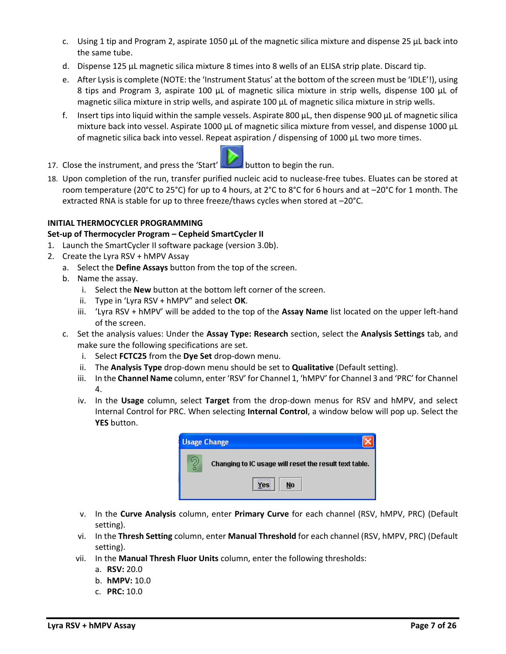- c. Using 1 tip and Program 2, aspirate 1050  $\mu$ L of the magnetic silica mixture and dispense 25  $\mu$ L back into the same tube.
- d. Dispense 125 µL magnetic silica mixture 8 times into 8 wells of an ELISA strip plate. Discard tip.
- e. After Lysis is complete (NOTE: the 'Instrument Status' at the bottom of the screen must be 'IDLE'!), using 8 tips and Program 3, aspirate 100 µL of magnetic silica mixture in strip wells, dispense 100 µL of magnetic silica mixture in strip wells, and aspirate 100 µL of magnetic silica mixture in strip wells.
- f. Insert tips into liquid within the sample vessels. Aspirate 800  $\mu$ L, then dispense 900  $\mu$ L of magnetic silica mixture back into vessel. Aspirate 1000 µL of magnetic silica mixture from vessel, and dispense 1000 µL of magnetic silica back into vessel. Repeat aspiration / dispensing of 1000 µL two more times.
- 17. Close the instrument, and press the 'Start' button to begin the run.
- 18. Upon completion of the run, transfer purified nucleic acid to nuclease-free tubes. Eluates can be stored at room temperature (20°C to 25°C) for up to 4 hours, at 2°C to 8°C for 6 hours and at –20°C for 1 month. The extracted RNA is stable for up to three freeze/thaws cycles when stored at –20°C.

# **INITIAL THERMOCYCLER PROGRAMMING**

# **Set-up of Thermocycler Program – Cepheid SmartCycler II**

- 1. Launch the SmartCycler II software package (version 3.0b).
- 2. Create the Lyra RSV + hMPV Assay
	- a. Select the **Define Assays** button from the top of the screen.
	- b. Name the assay.
		- i. Select the **New** button at the bottom left corner of the screen.
		- ii. Type in 'Lyra RSV + hMPV" and select **OK**.
		- iii. 'Lyra RSV + hMPV' will be added to the top of the **Assay Name** list located on the upper left-hand of the screen.
	- c. Set the analysis values: Under the **Assay Type: Research** section, select the **Analysis Settings** tab, and make sure the following specifications are set.
		- i. Select **FCTC25** from the **Dye Set** drop-down menu.
		- ii. The **Analysis Type** drop-down menu should be set to **Qualitative** (Default setting).
		- iii. In the **Channel Name** column, enter 'RSV' for Channel 1, 'hMPV' for Channel 3 and 'PRC' for Channel 4.
		- iv. In the **Usage** column, select **Target** from the drop-down menus for RSV and hMPV, and select Internal Control for PRC. When selecting **Internal Control**, a window below will pop up. Select the **YES** button.



- v. In the **Curve Analysis** column, enter **Primary Curve** for each channel (RSV, hMPV, PRC) (Default setting).
- vi. In the **Thresh Setting** column, enter **Manual Threshold** for each channel (RSV, hMPV, PRC) (Default setting).
- vii. In the **Manual Thresh Fluor Units** column, enter the following thresholds:
	- a. **RSV:** 20.0
	- b. **hMPV:** 10.0
	- c. **PRC:** 10.0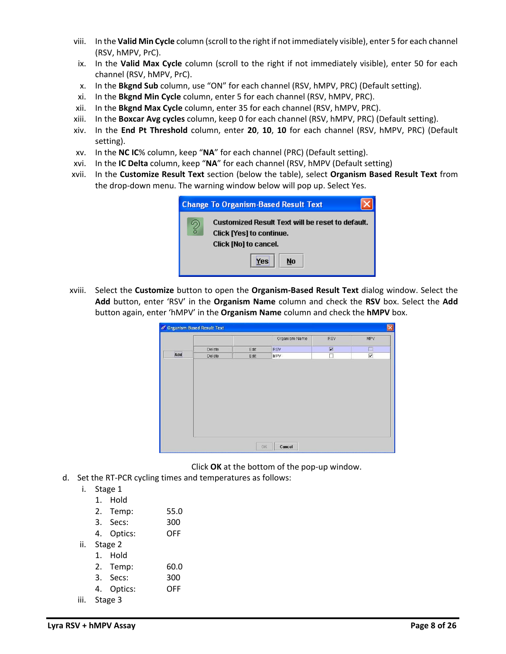- viii. In the **Valid Min Cycle** column (scroll to the right if not immediately visible), enter 5 for each channel (RSV, hMPV, PrC).
- ix. In the **Valid Max Cycle** column (scroll to the right if not immediately visible), enter 50 for each channel (RSV, hMPV, PrC).
- x. In the **Bkgnd Sub** column, use "ON" for each channel (RSV, hMPV, PRC) (Default setting).
- xi. In the **Bkgnd Min Cycle** column, enter 5 for each channel (RSV, hMPV, PRC).
- xii. In the **Bkgnd Max Cycle** column, enter 35 for each channel (RSV, hMPV, PRC).
- xiii. In the **Boxcar Avg cycles** column, keep 0 for each channel (RSV, hMPV, PRC) (Default setting).
- xiv. In the **End Pt Threshold** column, enter **20**, **10**, **10** for each channel (RSV, hMPV, PRC) (Default setting).
- xv. In the **NC IC**% column, keep "**NA**" for each channel (PRC) (Default setting).
- xvi. In the **IC Delta** column, keep "**NA**" for each channel (RSV, hMPV (Default setting)
- xvii. In the **Customize Result Text** section (below the table), select **Organism Based Result Text** from the drop-down menu. The warning window below will pop up. Select Yes.

|   | <b>Change To Organism-Based Result Text</b>                                                                  |
|---|--------------------------------------------------------------------------------------------------------------|
| ? | Customized Result Text will be reset to default.<br><b>Click [Yes] to continue.</b><br>Click [No] to cancel. |
|   | No<br>Yes                                                                                                    |

xviii. Select the **Customize** button to open the **Organism-Based Result Text** dialog window. Select the **Add** button, enter 'RSV' in the **Organism Name** column and check the **RSV** box. Select the **Add** button again, enter 'hMPV' in the **Organism Name** column and check the **hMPV** box.

|     |        |      | Organism Name | RSV | MPV                     |
|-----|--------|------|---------------|-----|-------------------------|
|     |        |      |               |     |                         |
|     | Delete | Edit | RSV           | 図   | $\Box$                  |
| Add | Delete | Edit | <b>MPV</b>    | □   | $\overline{\mathbf{v}}$ |
|     |        |      |               |     |                         |
|     |        |      |               |     |                         |

Click **OK** at the bottom of the pop-up window.

- d. Set the RT-PCR cycling times and temperatures as follows:
	- i. Stage 1
		- 1. Hold

| 2. | Temp: | 55.0 |
|----|-------|------|
|    |       |      |

- 3. Secs: 300
- 4. Optics: OFF
- ii. Stage 2
	- 1. Hold
		- 2. Temp: 60.0
	- 3. Secs: 300
	- 4. Optics: OFF
- iii. Stage 3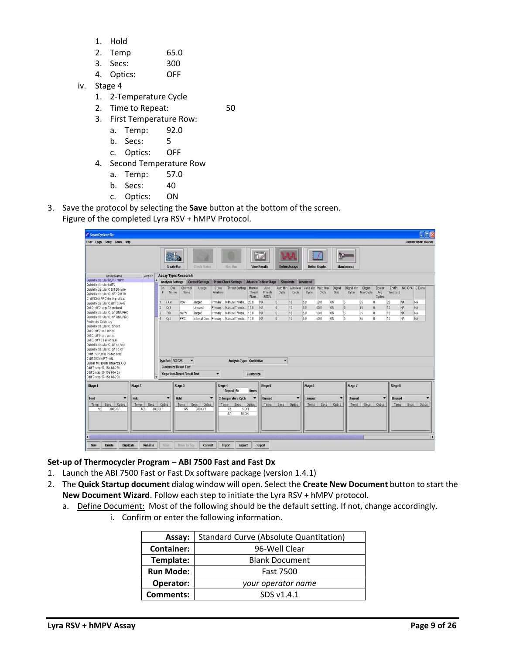- 1. Hold
- 2. Temp 65.0
- 3. Secs: 300
- 4. Optics: OFF
- iv. Stage 4
	- 1. 2-Temperature Cycle
	- 2. Time to Repeat: 50
		-
	- 3. First Temperature Row: a. Temp: 92.0
		- b. Secs: 5
		- c. Optics: OFF
	- 4. Second Temperature Row
		- a. Temp: 57.0
		- b. Secs: 40
		- c. Optics: ON
- 3. Save the protocol by selecting the **Save** button at the bottom of the screen.

Figure of the completed Lyra RSV + hMPV Protocol.

| SmartCycler <sup>®</sup> Dx                                                                                                                                                                                                                                                         |                   |                                                                                      |                      |                           |                      | <b>Tolx</b>                                |                            |                                                 |                      |                          |                    |                      |                      |                           |                    |                          |                  |                       |                                    |
|-------------------------------------------------------------------------------------------------------------------------------------------------------------------------------------------------------------------------------------------------------------------------------------|-------------------|--------------------------------------------------------------------------------------|----------------------|---------------------------|----------------------|--------------------------------------------|----------------------------|-------------------------------------------------|----------------------|--------------------------|--------------------|----------------------|----------------------|---------------------------|--------------------|--------------------------|------------------|-----------------------|------------------------------------|
| <b>User Logs Setup Tools Help</b>                                                                                                                                                                                                                                                   |                   |                                                                                      |                      |                           |                      |                                            |                            |                                                 |                      |                          |                    |                      |                      |                           |                    |                          |                  |                       | <b>Current User: <none></none></b> |
|                                                                                                                                                                                                                                                                                     |                   | $\alpha_{\rm CO}$<br><b>Create Run</b>                                               |                      | <b>Check Status</b>       |                      | <b>Stop Run</b>                            |                            | 0000000<br>$   \cdot   $<br><b>View Results</b> |                      | <b>Define Assays</b>     |                    | <b>Define Graphs</b> | <b>RO</b>            | <b>Maintenance</b>        |                    |                          |                  |                       |                                    |
| Assay Name<br>Version                                                                                                                                                                                                                                                               |                   | Assay Type: Research                                                                 |                      |                           |                      |                                            |                            |                                                 |                      |                          |                    |                      |                      |                           |                    |                          |                  |                       |                                    |
| Quidel Molecular RSV + hMPV                                                                                                                                                                                                                                                         |                   | <b>Analysis Settings</b>                                                             |                      | <b>Control Settings</b>   |                      | <b>Probe Check Settings</b>                |                            | <b>Advance To New Stage</b>                     | <b>Standards</b>     |                          | Advanced           |                      |                      |                           |                    |                          |                  |                       |                                    |
| Quidel Molecular hMPV<br>Quidel Molecular C Diff 50 cycle<br>Quidel Molecular C. diff-120110<br>C. diff DNA PRC 5 min preheat                                                                                                                                                       | Ch<br>$\neq$      | Dye<br>Name                                                                          | Channel<br>Name      | Usage                     | Curve<br>Analysis    | <b>Thresh Setting</b>                      | Manual<br>Thresh<br>Fluor. | Auto<br>Thresh<br>#SD's                         | Auto Min<br>Cycle    | Auto Max<br>Cycle        | Valid Min<br>Cycle | Valid Max<br>Cycle   | Bkgnd<br>Sub         | <b>Bkgnd Min</b><br>Cycle | Bkgnd<br>Max Cycle | Boxcar<br>Avg<br>Cycles  | <b>Threshold</b> | EndPt NCIC % IC Delta |                                    |
| Quidel Molecular C.diff Tox A+B                                                                                                                                                                                                                                                     |                   | FAM                                                                                  | RSV                  | Target                    |                      | Primary  Manual Thresh 20.0                |                            | <b>NA</b>                                       | $\sqrt{5}$           | 10                       | 5.0                | 50.0                 | <b>ON</b>            | 5                         | 35                 | n                        | 20               | <b>NA</b>             | NA.                                |
| QM C. diff 2 step-92 pre heat                                                                                                                                                                                                                                                       |                   | Cy <sub>3</sub>                                                                      |                      | Unused                    |                      | Primary  Manual Thresh                     | 15.0                       | <b>NA</b>                                       | $\sqrt{5}$           | 10                       | 5.0                | 50.0                 | <b>ON</b>            | 5                         | 35                 | $\overline{0}$           | 10               | NA                    | <b>NA</b>                          |
| Quidel Molecular C. diff DNA PRC                                                                                                                                                                                                                                                    |                   | TxR                                                                                  | hMPV                 | Target                    | Primary              | Manual Thresh                              | 10.0                       | <b>NA</b>                                       | $\overline{5}$       | 10                       | 5.0                | 50.0                 | <b>ON</b>            | $\overline{5}$            | 35                 | ١o                       | 10               | <b>NA</b>             | NA.                                |
| Quidel Molecular C, diff RNA PRC<br>ProGastro Cd Assay                                                                                                                                                                                                                              |                   | Cy5                                                                                  | PRC                  |                           |                      | Internal Con Primary Manual Thresh 10.0    |                            | <b>NA</b>                                       | $\sqrt{5}$           | 10                       | 5.0                | 50.0                 | <b>ON</b>            | $\overline{5}$            | 35                 | o                        | 10               | NA                    | <b>NA</b>                          |
| OM C. diff 10 sec anneal<br>Quidel Molecular C, diff no heat<br>Quidel Molecular C, diff no RT<br>C diff 65C 5min RT-two step<br>C diff 65C no RT - old<br>Quidel Molecular Influenza A+B<br>Cdiff 3 step 57-15s 68-25s<br>Cdiff 3 step 57-15s 68-40s<br>Cdiff 3 step 57-15s 68-20s | l.                | Dye Set: FCTC25<br><b>Customize Result Text</b><br><b>Organism-Based Result Text</b> | $\blacktriangledown$ |                           | $\blacktriangledown$ | Analysis Type: Qualitative                 | Customize                  |                                                 | $\blacktriangledown$ |                          |                    |                      |                      |                           |                    |                          |                  |                       |                                    |
| Stage 2<br>Stage 1                                                                                                                                                                                                                                                                  |                   |                                                                                      | Stage 3              |                           | Stage 4              | Repeat 50                                  | times                      | Stage 5                                         |                      |                          | Stage 6            |                      |                      | Stage 7                   |                    |                          | Stage 8          |                       |                                    |
| Hold<br>$\blacktriangledown$<br>Hold                                                                                                                                                                                                                                                |                   | $\overline{\phantom{a}}$<br><b>Hold</b>                                              |                      | $\overline{\phantom{a}}$  |                      | 2-Temperature Cycle                        |                            | <b>Unused</b>                                   |                      | $\overline{\phantom{a}}$ | <b>Unused</b>      |                      | $\blacktriangledown$ | <b>Unused</b>             |                    | $\overline{\phantom{a}}$ | <b>Unused</b>    |                       |                                    |
| Secs<br>Optics<br>Secs<br>Temp<br>Temp<br>55<br>300 OFF<br>60                                                                                                                                                                                                                       | Optics<br>300 OFF |                                                                                      | Temp<br>65           | Secs<br>Optics<br>300 OFF |                      | Secs<br>Temp<br>5 OFF<br>92<br>57<br>40 ON | Optics                     | <b>Temp</b>                                     | Secs                 | Optics                   | Temp               | Secs                 | Optics               | Temp                      | Secs               | Optics                   | Temp             | Secs                  | Optics                             |
| <b>Duplicate</b><br><b>Delete</b><br><b>New</b><br>Rename                                                                                                                                                                                                                           |                   | Save                                                                                 | Move To Top          | Convert                   |                      | <b>Import</b><br>Export                    |                            | Report                                          |                      |                          |                    |                      |                      |                           |                    |                          |                  |                       |                                    |

## **Set-up of Thermocycler Program – ABI 7500 Fast and Fast Dx**

- 1. Launch the ABI 7500 Fast or Fast Dx software package (version 1.4.1)
- 2. The **Quick Startup document** dialog window will open. Select the **Create New Document** button to start the **New Document Wizard**. Follow each step to initiate the Lyra RSV + hMPV protocol.
	- a. Define Document: Most of the following should be the default setting. If not, change accordingly.
		- i. Confirm or enter the following information.

| <b>Standard Curve (Absolute Quantitation)</b><br>Assay: |            |  |  |
|---------------------------------------------------------|------------|--|--|
| <b>Container:</b><br>96-Well Clear                      |            |  |  |
| Template:<br><b>Blank Document</b>                      |            |  |  |
| <b>Run Mode:</b><br><b>Fast 7500</b>                    |            |  |  |
| Operator:<br>your operator name                         |            |  |  |
| <b>Comments:</b>                                        | SDS v1.4.1 |  |  |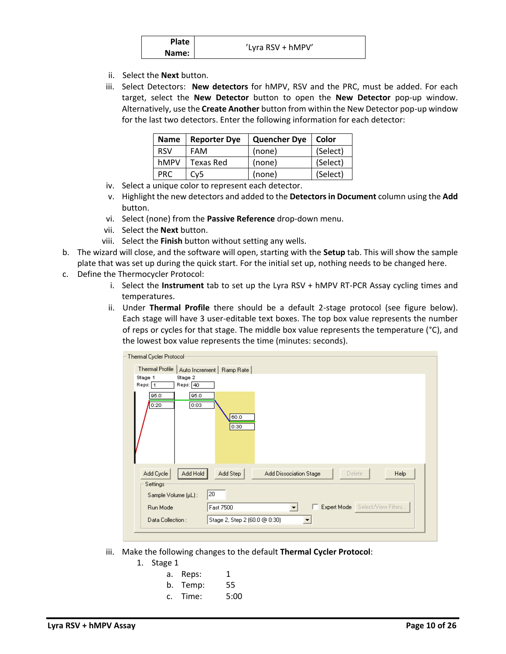| <b>Plate</b> |                   |
|--------------|-------------------|
| Name:        | 'Lyra RSV + hMPV' |

- ii. Select the **Next** button.
- iii. Select Detectors: **New detectors** for hMPV, RSV and the PRC, must be added. For each target, select the **New Detector** button to open the **New Detector** pop-up window. Alternatively, use the **Create Another** button from within the New Detector pop-up window for the last two detectors. Enter the following information for each detector:

| <b>Name</b> | <b>Reporter Dye</b> | <b>Quencher Dye</b> | Color    |
|-------------|---------------------|---------------------|----------|
| <b>RSV</b>  | FAM                 | (none)              | (Select) |
| hMPV        | Texas Red           | (none)              | (Select) |
| PRC.        | Cv5                 | (none)              | (Select) |

- iv. Select a unique color to represent each detector.
- v. Highlight the new detectors and added to the **Detectors in Document** column using the **Add** button.
- vi. Select (none) from the **Passive Reference** drop-down menu.
- vii. Select the **Next** button.
- viii. Select the **Finish** button without setting any wells.
- b. The wizard will close, and the software will open, starting with the **Setup** tab. This will show the sample plate that was set up during the quick start. For the initial set up, nothing needs to be changed here.
- c. Define the Thermocycler Protocol:
	- i. Select the **Instrument** tab to set up the Lyra RSV + hMPV RT-PCR Assay cycling times and temperatures.
	- ii. Under **Thermal Profile** there should be a default 2-stage protocol (see figure below). Each stage will have 3 user-editable text boxes. The top box value represents the number of reps or cycles for that stage. The middle box value represents the temperature (°C), and the lowest box value represents the time (minutes: seconds).

| Thermal Cycler Protocol                   |                                                                               |
|-------------------------------------------|-------------------------------------------------------------------------------|
| Thermal Profile                           | Auto Increment   Ramp Rate                                                    |
| Stage 1<br>Stage 2<br>Reps: 1<br>Reps: 40 |                                                                               |
| 95.0<br>95.0<br>0:03<br>0:20              | 60.0<br>0:30                                                                  |
| Add Hold<br>Add Cycle<br>Settings         | Add Step<br><b>Add Dissociation Stage</b><br><b>Help</b><br>Delete            |
| Sample Volume (µL):                       | 20                                                                            |
| Run Mode                                  | Expert Mode Select/View Filters<br>Fast 7500<br>ш<br>$\overline{\phantom{0}}$ |
| Data Collection:                          | Stage 2, Step 2 (60.0 @ 0:30)                                                 |
|                                           |                                                                               |

- iii. Make the following changes to the default **Thermal Cycler Protocol**:
	- 1. Stage 1

| а. | Reps:    | 1    |
|----|----------|------|
|    | b. Temp: | 55   |
|    | c. Time: | 5:00 |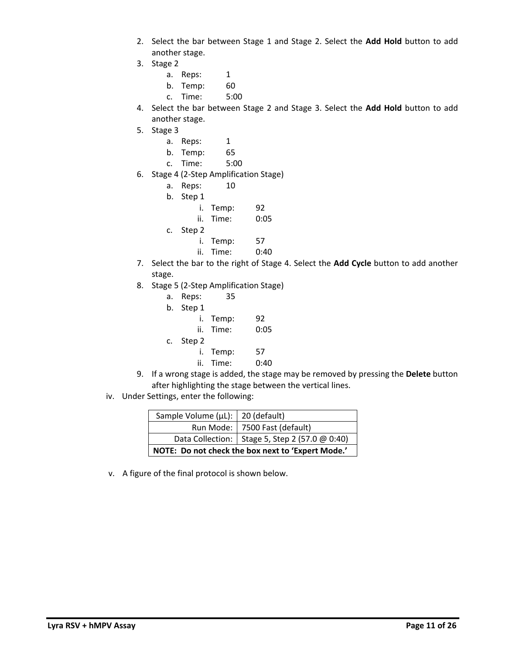- 2. Select the bar between Stage 1 and Stage 2. Select the **Add Hold** button to add another stage.
- 3. Stage 2

a. Reps: 1

b. Temp: 60

c. Time: 5:00

- 4. Select the bar between Stage 2 and Stage 3. Select the **Add Hold** button to add another stage.
- 5. Stage 3
	- a. Reps: 1
	- b. Temp: 65
	- c. Time: 5:00
- 6. Stage 4 (2-Step Amplification Stage)
	- a. Reps: 10
	- b. Step 1
		- i. Temp: 92
			- ii. Time: 0:05
	- c. Step 2
		- i. Temp: 57
		- ii. Time: 0:40
- 7. Select the bar to the right of Stage 4. Select the **Add Cycle** button to add another stage.
- 8. Stage 5 (2-Step Amplification Stage)
	- a. Reps: 35
	- b. Step 1
	- i. Temp: 92 ii. Time: 0:05 c. Step 2 i. Temp: 57
		- ii. Time: 0:40
- 9. If a wrong stage is added, the stage may be removed by pressing the **Delete** button after highlighting the stage between the vertical lines.
- iv. Under Settings, enter the following:

| Sample Volume ( $\mu$ L):   20 (default) |                                                   |
|------------------------------------------|---------------------------------------------------|
|                                          | Run Mode:   7500 Fast (default)                   |
|                                          | Data Collection:   Stage 5, Step 2 (57.0 @ 0:40)  |
|                                          | NOTE: Do not check the box next to 'Expert Mode.' |

v. A figure of the final protocol is shown below.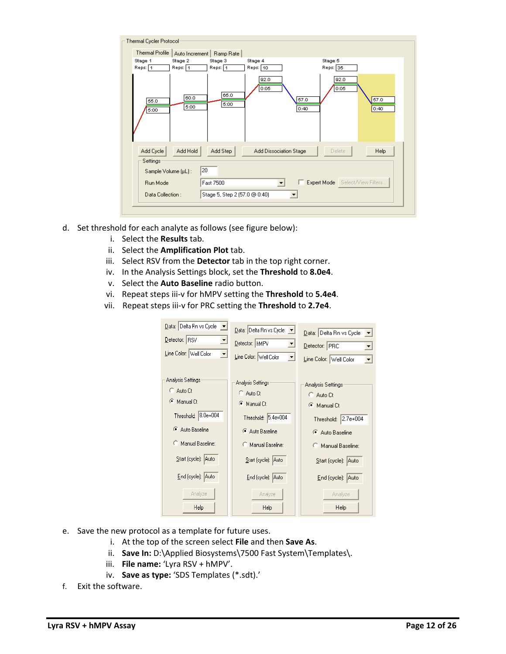| Thermal Cycler Protocol           |                               |                        |                                 |              |
|-----------------------------------|-------------------------------|------------------------|---------------------------------|--------------|
| Thermal Profile<br>Auto Increment | Ramp Rate                     |                        |                                 |              |
| Stage 1<br>Stage 2                | Stage 3                       | Stage 4                | Stage 5                         |              |
| Reps: 1<br>Reps: 1                | Reps: 1                       | Reps:   10             | Reps: 35                        |              |
| 60.0<br>55.0<br>5:00<br>5:00      | 65.0<br>5:00                  | 92.0<br>0:05           | 92.0<br>0:05<br>57.0<br>0:40    | 57.0<br>0:40 |
| Add Cycle<br>Add Hold<br>Settings | Add Step                      | Add Dissociation Stage | Delete                          | Help         |
|                                   | 20                            |                        |                                 |              |
| Sample Volume (µL):               |                               |                        |                                 |              |
| Run Mode                          | Fast 7500                     | ▼                      | Expert Mode Select/View Filters |              |
| Data Collection:                  | Stage 5, Step 2 (57.0 @ 0:40) | ▼                      |                                 |              |
|                                   |                               |                        |                                 |              |
|                                   |                               |                        |                                 |              |

- d. Set threshold for each analyte as follows (see figure below):
	- i. Select the **Results** tab.
	- ii. Select the **Amplification Plot** tab.
	- iii. Select RSV from the **Detector** tab in the top right corner.
	- iv. In the Analysis Settings block, set the **Threshold** to **8.0e4**.
	- v. Select the **Auto Baseline** radio button.
	- vi. Repeat steps iii-v for hMPV setting the **Threshold** to **5.4e4**.
	- vii. Repeat steps iii-v for PRC setting the **Threshold** to **2.7e4**.

| Data: Delta Rn vs Cycle | Data: Delta Rn vs Cycle | Data: Delta Rn vs Cycle |
|-------------------------|-------------------------|-------------------------|
| 츠                       | $\vert \bm{\tau} \vert$ | $\vert \cdot \vert$     |
| Detector: RSV           | Detector:   HMPV        | Detector: PRC           |
| ⊻                       | 회                       | ▼                       |
| Line Color: Well Color  | Line Color: Well Color  | Line Color: Well Color  |
| ᆋ                       | ▼                       | $\bigtriangledown$      |
| Analysis Settings:      | Analysis Settings       | Analysis Settings       |
| C Auto Ct               | C Auto Ct               | C Auto Ct               |
| Manual Ct               | <b>C</b> Manual Ct      | <b>C</b> Manual Ct      |
| Threshold: 8.0e+004     | Threshold: 5.4e+004     | Threshold: 2.7e+004     |
| Auto Baseline           | Auto Baseline           | Auto Baseline           |
| Manual Baseline:        | Manual Baseline:        | C Manual Baseline:      |
| Start (cycle): Auto     | Start (cycle): Auto     | Start (cycle):  Auto    |
| End (cycle): Auto       | End (cycle): Auto       | End (cycle): Auto       |
| Analyze                 | Analyze                 | Analyze                 |
| Help                    | Help                    | Help                    |

- e. Save the new protocol as a template for future uses.
	- i. At the top of the screen select **File** and then **Save As**.
	- ii. **Save In:** D:\Applied Biosystems\7500 Fast System\Templates\.
	- iii. **File name:** 'Lyra RSV + hMPV'.
	- iv. **Save as type:** 'SDS Templates (\*.sdt).'
- f. Exit the software.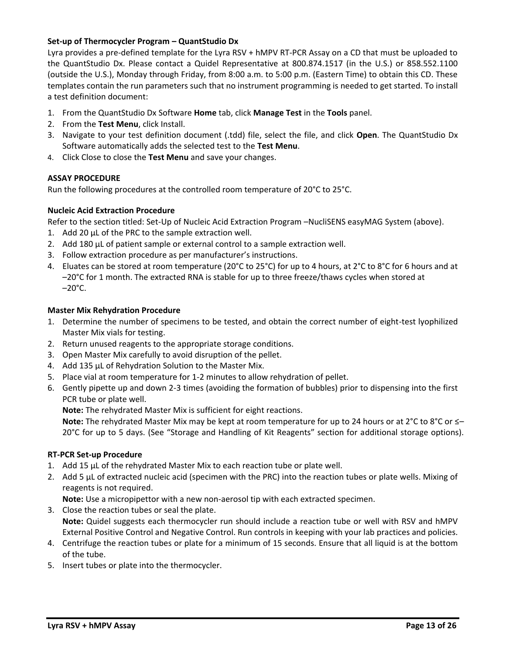## **Set-up of Thermocycler Program – QuantStudio Dx**

Lyra provides a pre‐defined template for the Lyra RSV + hMPV RT‐PCR Assay on a CD that must be uploaded to the QuantStudio Dx. Please contact a Quidel Representative at 800.874.1517 (in the U.S.) or 858.552.1100 (outside the U.S.), Monday through Friday, from 8:00 a.m. to 5:00 p.m. (Eastern Time) to obtain this CD. These templates contain the run parameters such that no instrument programming is needed to get started. To install a test definition document:

- 1. From the QuantStudio Dx Software **Home** tab, click **Manage Test** in the **Tools** panel.
- 2. From the **Test Menu**, click Install.
- 3. Navigate to your test definition document (.tdd) file, select the file, and click **Open**. The QuantStudio Dx Software automatically adds the selected test to the **Test Menu**.
- 4. Click Close to close the **Test Menu** and save your changes.

## **ASSAY PROCEDURE**

Run the following procedures at the controlled room temperature of 20°C to 25°C.

# **Nucleic Acid Extraction Procedure**

Refer to the section titled: Set-Up of Nucleic Acid Extraction Program –NucliSENS easyMAG System (above).

- 1. Add 20 µL of the PRC to the sample extraction well.
- 2. Add 180 µL of patient sample or external control to a sample extraction well.
- 3. Follow extraction procedure as per manufacturer's instructions.
- 4. Eluates can be stored at room temperature (20°C to 25°C) for up to 4 hours, at 2°C to 8°C for 6 hours and at –20°C for 1 month. The extracted RNA is stable for up to three freeze/thaws cycles when stored at  $-20^{\circ}$ C.

## **Master Mix Rehydration Procedure**

- 1. Determine the number of specimens to be tested, and obtain the correct number of eight-test lyophilized Master Mix vials for testing.
- 2. Return unused reagents to the appropriate storage conditions.
- 3. Open Master Mix carefully to avoid disruption of the pellet.
- 4. Add 135 µL of Rehydration Solution to the Master Mix.
- 5. Place vial at room temperature for 1-2 minutes to allow rehydration of pellet.
- 6. Gently pipette up and down 2-3 times (avoiding the formation of bubbles) prior to dispensing into the first PCR tube or plate well.

**Note:** The rehydrated Master Mix is sufficient for eight reactions.

**Note:** The rehydrated Master Mix may be kept at room temperature for up to 24 hours or at 2°C to 8°C or ≤– 20°C for up to 5 days. (See "Storage and Handling of Kit Reagents" section for additional storage options).

## **RT-PCR Set-up Procedure**

- 1. Add 15 µL of the rehydrated Master Mix to each reaction tube or plate well.
- 2. Add 5 µL of extracted nucleic acid (specimen with the PRC) into the reaction tubes or plate wells. Mixing of reagents is not required.

**Note:** Use a micropipettor with a new non-aerosol tip with each extracted specimen.

- 3. Close the reaction tubes or seal the plate. **Note:** Quidel suggests each thermocycler run should include a reaction tube or well with RSV and hMPV External Positive Control and Negative Control. Run controls in keeping with your lab practices and policies.
- 4. Centrifuge the reaction tubes or plate for a minimum of 15 seconds. Ensure that all liquid is at the bottom of the tube.
- 5. Insert tubes or plate into the thermocycler.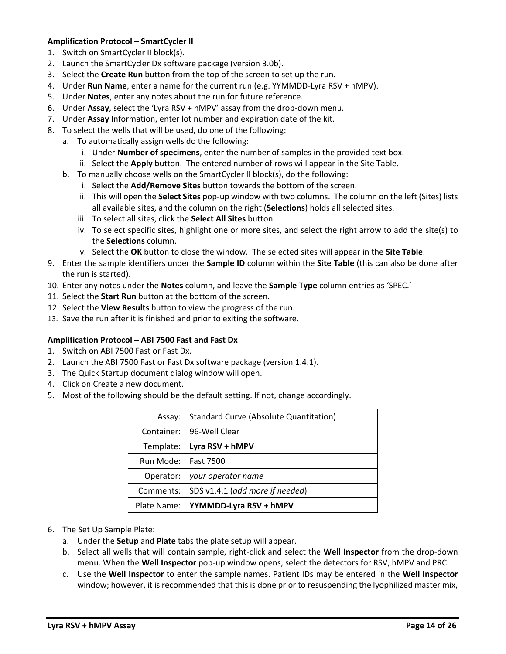# **Amplification Protocol – SmartCycler II**

- 1. Switch on SmartCycler II block(s).
- 2. Launch the SmartCycler Dx software package (version 3.0b).
- 3. Select the **Create Run** button from the top of the screen to set up the run.
- 4. Under **Run Name**, enter a name for the current run (e.g. YYMMDD-Lyra RSV + hMPV).
- 5. Under **Notes**, enter any notes about the run for future reference.
- 6. Under **Assay**, select the 'Lyra RSV + hMPV' assay from the drop-down menu.
- 7. Under **Assay** Information, enter lot number and expiration date of the kit.
- 8. To select the wells that will be used, do one of the following:
	- a. To automatically assign wells do the following:
		- i. Under **Number of specimens**, enter the number of samples in the provided text box.
		- ii. Select the **Apply** button. The entered number of rows will appear in the Site Table.
		- b. To manually choose wells on the SmartCycler II block(s), do the following:
			- i. Select the **Add/Remove Sites** button towards the bottom of the screen.
			- ii. This will open the **Select Sites** pop-up window with two columns. The column on the left (Sites) lists all available sites, and the column on the right (**Selections**) holds all selected sites.
			- iii. To select all sites, click the **Select All Sites** button.
			- iv. To select specific sites, highlight one or more sites, and select the right arrow to add the site(s) to the **Selections** column.
			- v. Select the **OK** button to close the window. The selected sites will appear in the **Site Table**.
- 9. Enter the sample identifiers under the **Sample ID** column within the **Site Table** (this can also be done after the run is started).
- 10. Enter any notes under the **Notes** column, and leave the **Sample Type** column entries as 'SPEC.'
- 11. Select the **Start Run** button at the bottom of the screen.
- 12. Select the **View Results** button to view the progress of the run.
- 13. Save the run after it is finished and prior to exiting the software.

## **Amplification Protocol – ABI 7500 Fast and Fast Dx**

- 1. Switch on ABI 7500 Fast or Fast Dx.
- 2. Launch the ABI 7500 Fast or Fast Dx software package (version 1.4.1).
- 3. The Quick Startup document dialog window will open.
- 4. Click on Create a new document.
- 5. Most of the following should be the default setting. If not, change accordingly.

| Assay:      | <b>Standard Curve (Absolute Quantitation)</b> |
|-------------|-----------------------------------------------|
| Container:  | 96-Well Clear                                 |
| Template:   | Lyra RSV + hMPV                               |
| Run Mode:   | <b>Fast 7500</b>                              |
| Operator:   | your operator name                            |
| Comments:   | SDS v1.4.1 (add more if needed)               |
| Plate Name: | YYMMDD-Lyra RSV + hMPV                        |

- 6. The Set Up Sample Plate:
	- a. Under the **Setup** and **Plate** tabs the plate setup will appear.
	- b. Select all wells that will contain sample, right-click and select the **Well Inspector** from the drop-down menu. When the **Well Inspector** pop-up window opens, select the detectors for RSV, hMPV and PRC.
	- c. Use the **Well Inspector** to enter the sample names. Patient IDs may be entered in the **Well Inspector** window; however, it is recommended that this is done prior to resuspending the lyophilized master mix,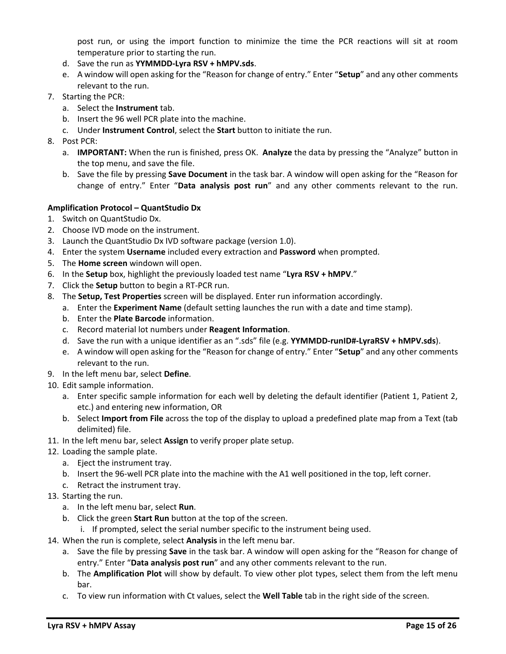post run, or using the import function to minimize the time the PCR reactions will sit at room temperature prior to starting the run.

- d. Save the run as **YYMMDD-Lyra RSV + hMPV.sds**.
- e. A window will open asking for the "Reason for change of entry." Enter "**Setup**" and any other comments relevant to the run.
- 7. Starting the PCR:
	- a. Select the **Instrument** tab.
	- b. Insert the 96 well PCR plate into the machine.
	- c. Under **Instrument Control**, select the **Start** button to initiate the run.
- 8. Post PCR:
	- a. **IMPORTANT:** When the run is finished, press OK. **Analyze** the data by pressing the "Analyze" button in the top menu, and save the file.
	- b. Save the file by pressing **Save Document** in the task bar. A window will open asking for the "Reason for change of entry." Enter "**Data analysis post run**" and any other comments relevant to the run.

## **Amplification Protocol – QuantStudio Dx**

- 1. Switch on QuantStudio Dx.
- 2. Choose IVD mode on the instrument.
- 3. Launch the QuantStudio Dx IVD software package (version 1.0).
- 4. Enter the system **Username** included every extraction and **Password** when prompted.
- 5. The **Home screen** windown will open.
- 6. In the **Setup** box, highlight the previously loaded test name "**Lyra RSV + hMPV**."
- 7. Click the **Setup** button to begin a RT-PCR run.
- 8. The **Setup, Test Properties** screen will be displayed. Enter run information accordingly.
	- a. Enter the **Experiment Name** (default setting launches the run with a date and time stamp).
	- b. Enter the **Plate Barcode** information.
	- c. Record material lot numbers under **Reagent Information**.
	- d. Save the run with a unique identifier as an ".sds" file (e.g. **YYMMDD-runID#-LyraRSV + hMPV.sds**).
	- e. A window will open asking for the "Reason for change of entry." Enter "**Setup**" and any other comments relevant to the run.
- 9. In the left menu bar, select **Define**.
- 10. Edit sample information.
	- a. Enter specific sample information for each well by deleting the default identifier (Patient 1, Patient 2, etc.) and entering new information, OR
	- b. Select **Import from File** across the top of the display to upload a predefined plate map from a Text (tab delimited) file.
- 11. In the left menu bar, select **Assign** to verify proper plate setup.
- 12. Loading the sample plate.
	- a. Eject the instrument tray.
	- b. Insert the 96-well PCR plate into the machine with the A1 well positioned in the top, left corner.
	- c. Retract the instrument tray.
- 13. Starting the run.
	- a. In the left menu bar, select **Run**.
	- b. Click the green **Start Run** button at the top of the screen.
	- i. If prompted, select the serial number specific to the instrument being used.
- 14. When the run is complete, select **Analysis** in the left menu bar.
	- a. Save the file by pressing **Save** in the task bar. A window will open asking for the "Reason for change of entry." Enter "**Data analysis post run**" and any other comments relevant to the run.
	- b. The **Amplification Plot** will show by default. To view other plot types, select them from the left menu bar.
	- c. To view run information with Ct values, select the **Well Table** tab in the right side of the screen.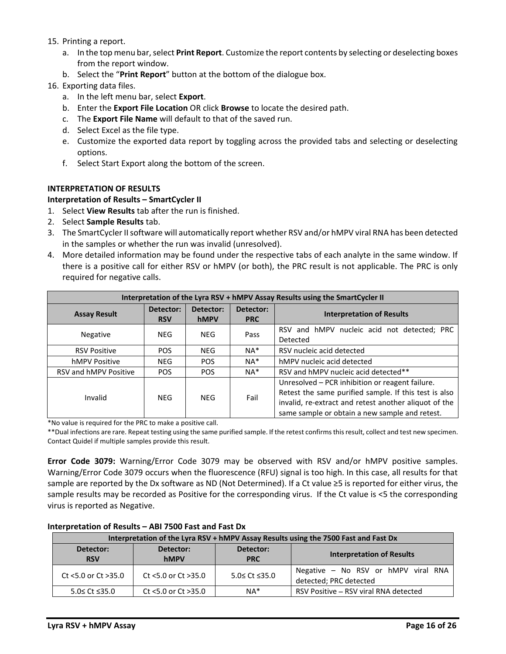- 15. Printing a report.
	- a. In the top menu bar, select **Print Report**. Customize the report contents by selecting or deselecting boxes from the report window.
	- b. Select the "**Print Report**" button at the bottom of the dialogue box.
- 16. Exporting data files.
	- a. In the left menu bar, select **Export**.
	- b. Enter the **Export File Location** OR click **Browse** to locate the desired path.
	- c. The **Export File Name** will default to that of the saved run.
	- d. Select Excel as the file type.
	- e. Customize the exported data report by toggling across the provided tabs and selecting or deselecting options.
	- f. Select Start Export along the bottom of the screen.

## **INTERPRETATION OF RESULTS**

## **Interpretation of Results – SmartCycler II**

- 1. Select **View Results** tab after the run is finished.
- 2. Select **Sample Results** tab.
- 3. The SmartCycler II software will automatically report whether RSV and/or hMPV viral RNA has been detected in the samples or whether the run was invalid (unresolved).
- 4. More detailed information may be found under the respective tabs of each analyte in the same window. If there is a positive call for either RSV or hMPV (or both), the PRC result is not applicable. The PRC is only required for negative calls.

| Interpretation of the Lyra RSV + hMPV Assay Results using the SmartCycler II |                         |                   |                         |                                                                                                                                                                                                                     |  |
|------------------------------------------------------------------------------|-------------------------|-------------------|-------------------------|---------------------------------------------------------------------------------------------------------------------------------------------------------------------------------------------------------------------|--|
| <b>Assay Result</b>                                                          | Detector:<br><b>RSV</b> | Detector:<br>hMPV | Detector:<br><b>PRC</b> | <b>Interpretation of Results</b>                                                                                                                                                                                    |  |
| Negative                                                                     | NEG.                    | <b>NEG</b>        | Pass                    | RSV and hMPV nucleic acid not detected; PRC<br>Detected                                                                                                                                                             |  |
| <b>RSV Positive</b>                                                          | POS.                    | NEG.              | $NA^*$                  | RSV nucleic acid detected                                                                                                                                                                                           |  |
| hMPV Positive                                                                | <b>NEG</b>              | <b>POS</b>        | $NA^*$                  | hMPV nucleic acid detected                                                                                                                                                                                          |  |
| RSV and hMPV Positive                                                        | <b>POS</b>              | <b>POS</b>        | $NA^*$                  | RSV and hMPV nucleic acid detected**                                                                                                                                                                                |  |
| Invalid                                                                      | <b>NEG</b>              | <b>NEG</b>        | Fail                    | Unresolved – PCR inhibition or reagent failure.<br>Retest the same purified sample. If this test is also<br>invalid, re-extract and retest another aliquot of the<br>same sample or obtain a new sample and retest. |  |

\*No value is required for the PRC to make a positive call.

\*\*Dual infections are rare. Repeat testing using the same purified sample. If the retest confirms this result, collect and test new specimen. Contact Quidel if multiple samples provide this result.

**Error Code 3079:** Warning/Error Code 3079 may be observed with RSV and/or hMPV positive samples. Warning/Error Code 3079 occurs when the fluorescence (RFU) signal is too high. In this case, all results for that sample are reported by the Dx software as ND (Not Determined). If a Ct value ≥5 is reported for either virus, the sample results may be recorded as Positive for the corresponding virus. If the Ct value is <5 the corresponding virus is reported as Negative.

|                         | Interpretation of the Lyra RSV + hMPV Assay Results using the 7500 Fast and Fast Dx |               |                                                               |  |  |  |
|-------------------------|-------------------------------------------------------------------------------------|---------------|---------------------------------------------------------------|--|--|--|
| Detector:<br><b>RSV</b> | Detector:<br>Detector:<br><b>hMPV</b><br><b>PRC</b>                                 |               | <b>Interpretation of Results</b>                              |  |  |  |
| $Ct$ <5.0 or $Ct$ >35.0 | Ct $<$ 5.0 or Ct $>$ 35.0                                                           | 5.0≤ Ct ≤35.0 | Negative - No RSV or hMPV viral RNA<br>detected; PRC detected |  |  |  |
| $5.0 \leq Ct \leq 35.0$ | Ct $<$ 5.0 or Ct $>$ 35.0                                                           | $NA*$         | RSV Positive – RSV viral RNA detected                         |  |  |  |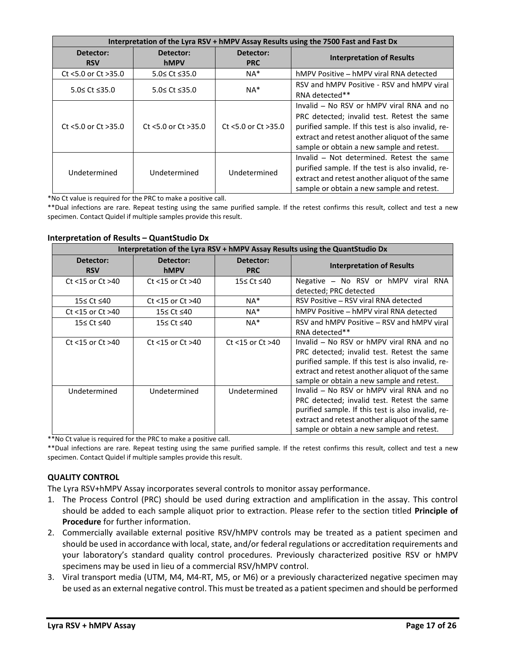|                         | Interpretation of the Lyra RSV + hMPV Assay Results using the 7500 Fast and Fast Dx |                           |                                                                                                                                                                                                                                               |  |  |  |
|-------------------------|-------------------------------------------------------------------------------------|---------------------------|-----------------------------------------------------------------------------------------------------------------------------------------------------------------------------------------------------------------------------------------------|--|--|--|
| Detector:<br><b>RSV</b> | Detector:<br><b>hMPV</b>                                                            | Detector:<br><b>PRC</b>   | <b>Interpretation of Results</b>                                                                                                                                                                                                              |  |  |  |
| Ct <5.0 or Ct >35.0     | 5.0≤ Ct ≤35.0                                                                       | $NA*$                     | hMPV Positive – hMPV viral RNA detected                                                                                                                                                                                                       |  |  |  |
| $5.0 \leq Ct \leq 35.0$ | $5.0 \leq Ct \leq 35.0$                                                             | $NA*$                     | RSV and hMPV Positive - RSV and hMPV viral<br>RNA detected**                                                                                                                                                                                  |  |  |  |
| $Ct$ <5.0 or $Ct$ >35.0 | Ct <5.0 or Ct >35.0                                                                 | Ct $<$ 5.0 or Ct $>$ 35.0 | Invalid – No RSV or hMPV viral RNA and no<br>PRC detected; invalid test. Retest the same<br>purified sample. If this test is also invalid, re-<br>extract and retest another aliquot of the same<br>sample or obtain a new sample and retest. |  |  |  |
| Undetermined            | Undetermined                                                                        | Undetermined              | Invalid - Not determined. Retest the same<br>purified sample. If the test is also invalid, re-<br>extract and retest another aliquot of the same<br>sample or obtain a new sample and retest.                                                 |  |  |  |

\*No Ct value is required for the PRC to make a positive call.

\*\*Dual infections are rare. Repeat testing using the same purified sample. If the retest confirms this result, collect and test a new specimen. Contact Quidel if multiple samples provide this result.

#### **Interpretation of Results – QuantStudio Dx**

|                         | Interpretation of the Lyra RSV + hMPV Assay Results using the QuantStudio Dx |                         |                                                                                                                                                                                                                                               |  |  |  |
|-------------------------|------------------------------------------------------------------------------|-------------------------|-----------------------------------------------------------------------------------------------------------------------------------------------------------------------------------------------------------------------------------------------|--|--|--|
| Detector:<br><b>RSV</b> | Detector:<br><b>hMPV</b>                                                     | Detector:<br><b>PRC</b> | <b>Interpretation of Results</b>                                                                                                                                                                                                              |  |  |  |
| Ct $<$ 15 or Ct $>$ 40  | Ct $<$ 15 or Ct $>$ 40                                                       | 15≤ Ct ≤40              | Negative - No RSV or hMPV viral RNA<br>detected; PRC detected                                                                                                                                                                                 |  |  |  |
| 15≤ Ct ≤40              | Ct $<$ 15 or Ct $>$ 40                                                       | $NA*$                   | RSV Positive - RSV viral RNA detected                                                                                                                                                                                                         |  |  |  |
| Ct $<$ 15 or Ct $>$ 40  | 15≤ Ct ≤40                                                                   | $NA^*$                  | hMPV Positive – hMPV viral RNA detected                                                                                                                                                                                                       |  |  |  |
| 15≤ Ct ≤40              | 15≤ Ct ≤40                                                                   | $NA*$                   | RSV and hMPV Positive – RSV and hMPV viral<br>RNA detected**                                                                                                                                                                                  |  |  |  |
| Ct $<$ 15 or Ct $>$ 40  | Ct $<$ 15 or Ct $>$ 40                                                       | Ct $<$ 15 or Ct $>$ 40  | Invalid – No RSV or hMPV viral RNA and no<br>PRC detected; invalid test. Retest the same<br>purified sample. If this test is also invalid, re-<br>extract and retest another aliquot of the same<br>sample or obtain a new sample and retest. |  |  |  |
| Undetermined            | Undetermined                                                                 | Undetermined            | Invalid - No RSV or hMPV viral RNA and no<br>PRC detected; invalid test. Retest the same<br>purified sample. If this test is also invalid, re-<br>extract and retest another aliquot of the same<br>sample or obtain a new sample and retest. |  |  |  |

\*\*No Ct value is required for the PRC to make a positive call.

\*\*Dual infections are rare. Repeat testing using the same purified sample. If the retest confirms this result, collect and test a new specimen. Contact Quidel if multiple samples provide this result.

## **QUALITY CONTROL**

The Lyra RSV+hMPV Assay incorporates several controls to monitor assay performance.

- 1. The Process Control (PRC) should be used during extraction and amplification in the assay. This control should be added to each sample aliquot prior to extraction. Please refer to the section titled **Principle of Procedure** for further information.
- 2. Commercially available external positive RSV/hMPV controls may be treated as a patient specimen and should be used in accordance with local, state, and/or federal regulations or accreditation requirements and your laboratory's standard quality control procedures. Previously characterized positive RSV or hMPV specimens may be used in lieu of a commercial RSV/hMPV control.
- 3. Viral transport media (UTM, M4, M4‐RT, M5, or M6) or a previously characterized negative specimen may be used as an external negative control. This must be treated as a patient specimen and should be performed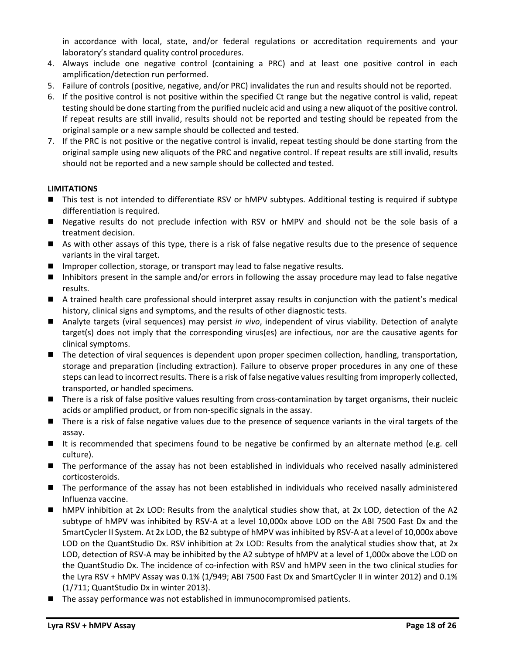in accordance with local, state, and/or federal regulations or accreditation requirements and your laboratory's standard quality control procedures.

- 4. Always include one negative control (containing a PRC) and at least one positive control in each amplification/detection run performed.
- 5. Failure of controls (positive, negative, and/or PRC) invalidates the run and results should not be reported.
- 6. If the positive control is not positive within the specified Ct range but the negative control is valid, repeat testing should be done starting from the purified nucleic acid and using a new aliquot of the positive control. If repeat results are still invalid, results should not be reported and testing should be repeated from the original sample or a new sample should be collected and tested.
- 7. If the PRC is not positive or the negative control is invalid, repeat testing should be done starting from the original sample using new aliquots of the PRC and negative control. If repeat results are still invalid, results should not be reported and a new sample should be collected and tested.

# **LIMITATIONS**

- This test is not intended to differentiate RSV or hMPV subtypes. Additional testing is required if subtype differentiation is required.
- Negative results do not preclude infection with RSV or hMPV and should not be the sole basis of a treatment decision.
- As with other assays of this type, there is a risk of false negative results due to the presence of sequence variants in the viral target.
- Improper collection, storage, or transport may lead to false negative results.
- Inhibitors present in the sample and/or errors in following the assay procedure may lead to false negative results.
- A trained health care professional should interpret assay results in conjunction with the patient's medical history, clinical signs and symptoms, and the results of other diagnostic tests.
- Analyte targets (viral sequences) may persist *in vivo*, independent of virus viability. Detection of analyte target(s) does not imply that the corresponding virus(es) are infectious, nor are the causative agents for clinical symptoms.
- The detection of viral sequences is dependent upon proper specimen collection, handling, transportation, storage and preparation (including extraction). Failure to observe proper procedures in any one of these steps can lead to incorrect results. There is a risk of false negative values resulting from improperly collected, transported, or handled specimens.
- There is a risk of false positive values resulting from cross-contamination by target organisms, their nucleic acids or amplified product, or from non‐specific signals in the assay.
- There is a risk of false negative values due to the presence of sequence variants in the viral targets of the assay.
- It is recommended that specimens found to be negative be confirmed by an alternate method (e.g. cell culture).
- The performance of the assay has not been established in individuals who received nasally administered corticosteroids.
- The performance of the assay has not been established in individuals who received nasally administered Influenza vaccine.
- hMPV inhibition at 2x LOD: Results from the analytical studies show that, at 2x LOD, detection of the A2 subtype of hMPV was inhibited by RSV-A at a level 10,000x above LOD on the ABI 7500 Fast Dx and the SmartCycler II System. At 2x LOD, the B2 subtype of hMPV was inhibited by RSV-A at a level of 10,000x above LOD on the QuantStudio Dx. RSV inhibition at 2x LOD: Results from the analytical studies show that, at 2x LOD, detection of RSV-A may be inhibited by the A2 subtype of hMPV at a level of 1,000x above the LOD on the QuantStudio Dx. The incidence of co-infection with RSV and hMPV seen in the two clinical studies for the Lyra RSV + hMPV Assay was 0.1% (1/949; ABI 7500 Fast Dx and SmartCycler II in winter 2012) and 0.1% (1/711; QuantStudio Dx in winter 2013).
- The assay performance was not established in immunocompromised patients.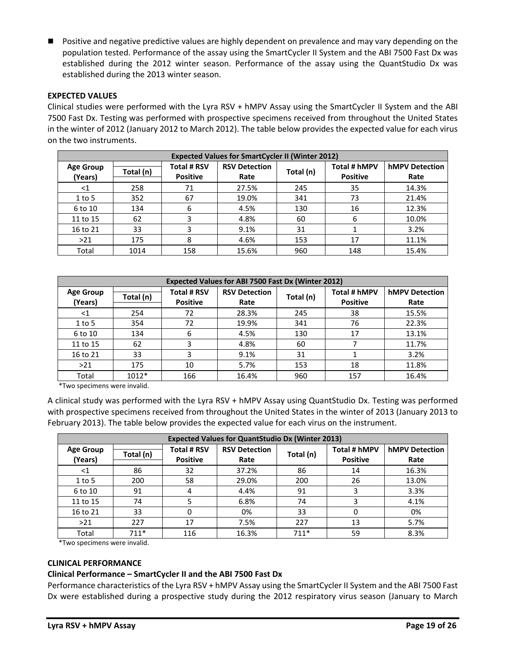■ Positive and negative predictive values are highly dependent on prevalence and may vary depending on the population tested. Performance of the assay using the SmartCycler II System and the ABI 7500 Fast Dx was established during the 2012 winter season. Performance of the assay using the QuantStudio Dx was established during the 2013 winter season.

## **EXPECTED VALUES**

Clinical studies were performed with the Lyra RSV + hMPV Assay using the SmartCycler II System and the ABI 7500 Fast Dx. Testing was performed with prospective specimens received from throughout the United States in the winter of 2012 (January 2012 to March 2012). The table below provides the expected value for each virus on the two instruments.

|                             | <b>Expected Values for SmartCycler II (Winter 2012)</b> |                                       |                              |           |                                 |                               |
|-----------------------------|---------------------------------------------------------|---------------------------------------|------------------------------|-----------|---------------------------------|-------------------------------|
| <b>Age Group</b><br>(Years) | Total (n)                                               | <b>Total # RSV</b><br><b>Positive</b> | <b>RSV Detection</b><br>Rate | Total (n) | Total # hMPV<br><b>Positive</b> | <b>hMPV Detection</b><br>Rate |
| $<$ 1                       | 258                                                     | 71                                    | 27.5%                        | 245       | 35                              | 14.3%                         |
| $1$ to 5                    | 352                                                     | 67                                    | 19.0%                        | 341       | 73                              | 21.4%                         |
| 6 to 10                     | 134                                                     | 6                                     | 4.5%                         | 130       | 16                              | 12.3%                         |
| 11 to 15                    | 62                                                      |                                       | 4.8%                         | 60        | 6                               | 10.0%                         |
| 16 to 21                    | 33                                                      |                                       | 9.1%                         | 31        |                                 | 3.2%                          |
| >21                         | 175                                                     | 8                                     | 4.6%                         | 153       | 17                              | 11.1%                         |
| Total                       | 1014                                                    | 158                                   | 15.6%                        | 960       | 148                             | 15.4%                         |

| <b>Expected Values for ABI 7500 Fast Dx (Winter 2012)</b> |           |                                       |                              |           |                                 |                               |
|-----------------------------------------------------------|-----------|---------------------------------------|------------------------------|-----------|---------------------------------|-------------------------------|
| <b>Age Group</b><br>(Years)                               | Total (n) | <b>Total # RSV</b><br><b>Positive</b> | <b>RSV Detection</b><br>Rate | Total (n) | Total # hMPV<br><b>Positive</b> | <b>hMPV Detection</b><br>Rate |
| $<$ 1                                                     | 254       | 72                                    | 28.3%                        | 245       | 38                              | 15.5%                         |
| $1$ to 5                                                  | 354       | 72                                    | 19.9%                        | 341       | 76                              | 22.3%                         |
| 6 to 10                                                   | 134       | 6                                     | 4.5%                         | 130       | 17                              | 13.1%                         |
| 11 to 15                                                  | 62        | 3                                     | 4.8%                         | 60        |                                 | 11.7%                         |
| 16 to 21                                                  | 33        |                                       | 9.1%                         | 31        |                                 | 3.2%                          |
| >21                                                       | 175       | 10                                    | 5.7%                         | 153       | 18                              | 11.8%                         |
| Total                                                     | $1012*$   | 166                                   | 16.4%                        | 960       | 157                             | 16.4%                         |

\*Two specimens were invalid.

A clinical study was performed with the Lyra RSV + hMPV Assay using QuantStudio Dx. Testing was performed with prospective specimens received from throughout the United States in the winter of 2013 (January 2013 to February 2013). The table below provides the expected value for each virus on the instrument.

| <b>Expected Values for QuantStudio Dx (Winter 2013)</b> |           |                                       |                              |           |                                 |                               |
|---------------------------------------------------------|-----------|---------------------------------------|------------------------------|-----------|---------------------------------|-------------------------------|
| <b>Age Group</b><br>(Years)                             | Total (n) | <b>Total # RSV</b><br><b>Positive</b> | <b>RSV Detection</b><br>Rate | Total (n) | Total # hMPV<br><b>Positive</b> | <b>hMPV Detection</b><br>Rate |
| ${<}1$                                                  | 86        | 32                                    | 37.2%                        | 86        | 14                              | 16.3%                         |
| $1$ to 5                                                | 200       | 58                                    | 29.0%                        | 200       | 26                              | 13.0%                         |
| 6 to 10                                                 | 91        | 4                                     | 4.4%                         | 91        |                                 | 3.3%                          |
| 11 to 15                                                | 74        |                                       | 6.8%                         | 74        |                                 | 4.1%                          |
| 16 to 21                                                | 33        | 0                                     | 0%                           | 33        | 0                               | 0%                            |
| >21                                                     | 227       | 17                                    | 7.5%                         | 227       | 13                              | 5.7%                          |
| Total                                                   | $711*$    | 116                                   | 16.3%                        | $711*$    | 59                              | 8.3%                          |

\*Two specimens were invalid.

#### **CLINICAL PERFORMANCE**

## **Clinical Performance – SmartCycler II and the ABI 7500 Fast Dx**

Performance characteristics of the Lyra RSV + hMPV Assay using the SmartCycler II System and the ABI 7500 Fast Dx were established during a prospective study during the 2012 respiratory virus season (January to March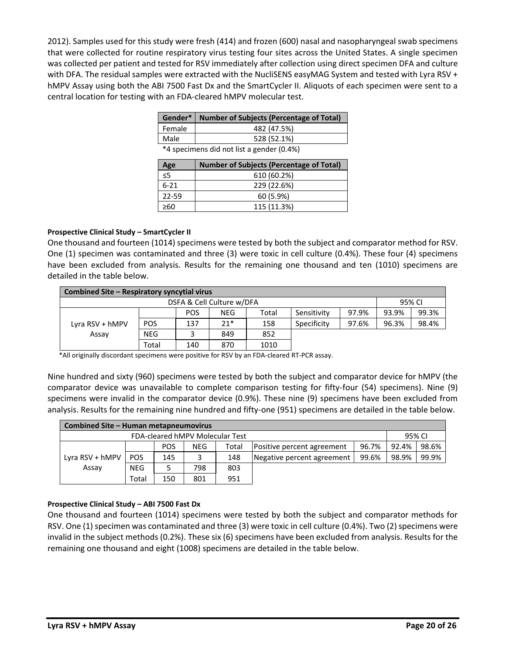2012). Samples used for this study were fresh (414) and frozen (600) nasal and nasopharyngeal swab specimens that were collected for routine respiratory virus testing four sites across the United States. A single specimen was collected per patient and tested for RSV immediately after collection using direct specimen DFA and culture with DFA. The residual samples were extracted with the NucliSENS easyMAG System and tested with Lyra RSV + hMPV Assay using both the ABI 7500 Fast Dx and the SmartCycler II. Aliquots of each specimen were sent to a central location for testing with an FDA‐cleared hMPV molecular test.

|                                           | Gender*   Number of Subjects (Percentage of Total) |  |  |
|-------------------------------------------|----------------------------------------------------|--|--|
| Female                                    | 482 (47.5%)                                        |  |  |
| Male                                      | 528 (52.1%)                                        |  |  |
| *4 specimens did not list a gender (0.4%) |                                                    |  |  |

**Age (Years) Number of Subjects (Percentage of Total)** ≤5 610 (60.2%) 6‐21 229 (22.6%) 22‐59 60 (5.9%)  $≥60$  115 (11.3%)

## **Prospective Clinical Study – SmartCycler II**

One thousand and fourteen (1014) specimens were tested by both the subject and comparator method for RSV. One (1) specimen was contaminated and three (3) were toxic in cell culture (0.4%). These four (4) specimens have been excluded from analysis. Results for the remaining one thousand and ten (1010) specimens are detailed in the table below.

| Combined Site – Respiratory syncytial virus |            |            |       |       |             |       |       |       |  |  |  |
|---------------------------------------------|------------|------------|-------|-------|-------------|-------|-------|-------|--|--|--|
| DSFA & Cell Culture w/DFA<br>95% CI         |            |            |       |       |             |       |       |       |  |  |  |
|                                             |            | <b>POS</b> | NEG   | Total | Sensitivity | 97.9% | 93.9% | 99.3% |  |  |  |
| Lyra RSV + hMPV                             | <b>POS</b> | 137        | $21*$ | 158   | Specificity | 97.6% | 96.3% | 98.4% |  |  |  |
| Assay                                       | <b>NEG</b> |            | 849   | 852   |             |       |       |       |  |  |  |
|                                             | Total      | 140        | 870   | 1010  |             |       |       |       |  |  |  |

\*All originally discordant specimens were positive for RSV by an FDA-cleared RT-PCR assay.

Nine hundred and sixty (960) specimens were tested by both the subject and comparator device for hMPV (the comparator device was unavailable to complete comparison testing for fifty-four (54) specimens). Nine (9) specimens were invalid in the comparator device (0.9%). These nine (9) specimens have been excluded from analysis. Results for the remaining nine hundred and fifty-one (951) specimens are detailed in the table below.

| <b>Combined Site - Human metapneumovirus</b> |            |            |            |                                 |                            |       |        |       |  |  |  |  |
|----------------------------------------------|------------|------------|------------|---------------------------------|----------------------------|-------|--------|-------|--|--|--|--|
|                                              |            |            |            | FDA-cleared hMPV Molecular Test |                            |       | 95% CI |       |  |  |  |  |
|                                              |            | <b>POS</b> | <b>NEG</b> | Total                           | Positive percent agreement | 96.7% | 92.4%  | 98.6% |  |  |  |  |
| Lyra RSV + hMPV                              | <b>POS</b> | 145        |            | 148                             | Negative percent agreement | 99.6% | 98.9%  | 99.9% |  |  |  |  |
| Assay                                        | <b>NEG</b> |            | 798        | 803                             |                            |       |        |       |  |  |  |  |
|                                              | Total      | 150        | 801        | 951                             |                            |       |        |       |  |  |  |  |

## **Prospective Clinical Study – ABI 7500 Fast Dx**

One thousand and fourteen (1014) specimens were tested by both the subject and comparator methods for RSV. One (1) specimen was contaminated and three (3) were toxic in cell culture (0.4%). Two (2) specimens were invalid in the subject methods (0.2%). These six (6) specimens have been excluded from analysis. Results for the remaining one thousand and eight (1008) specimens are detailed in the table below.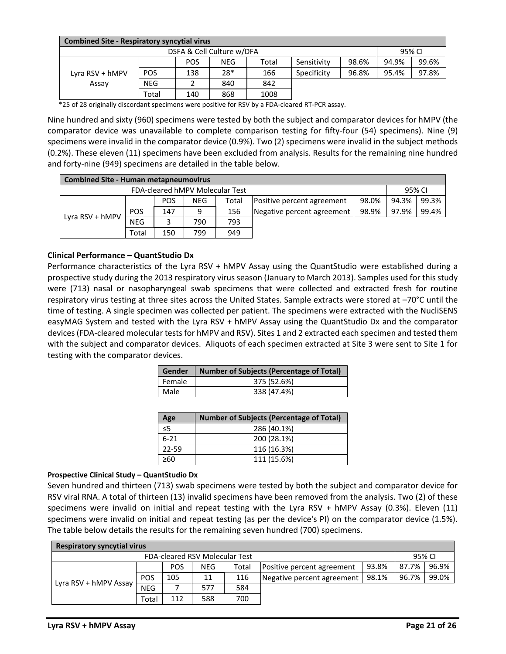| <b>Combined Site - Respiratory syncytial virus</b> |            |            |     |       |             |       |       |       |  |  |  |
|----------------------------------------------------|------------|------------|-----|-------|-------------|-------|-------|-------|--|--|--|
| DSFA & Cell Culture w/DFA<br>95% CI                |            |            |     |       |             |       |       |       |  |  |  |
|                                                    |            | <b>POS</b> | NEG | Total | Sensitivity | 98.6% | 94.9% | 99.6% |  |  |  |
| Lyra RSV + hMPV                                    | <b>POS</b> | 138        | 28* | 166   | Specificity | 96.8% | 95.4% | 97.8% |  |  |  |
| Assay                                              | <b>NEG</b> |            | 840 | 842   |             |       |       |       |  |  |  |
|                                                    | Total      | 140        | 868 | 1008  |             |       |       |       |  |  |  |

\*25 of 28 originally discordant specimens were positive for RSV by a FDA-cleared RT-PCR assay.

Nine hundred and sixty (960) specimens were tested by both the subject and comparator devices for hMPV (the comparator device was unavailable to complete comparison testing for fifty-four (54) specimens). Nine (9) specimens were invalid in the comparator device (0.9%). Two (2) specimens were invalid in the subject methods (0.2%). These eleven (11) specimens have been excluded from analysis. Results for the remaining nine hundred and forty-nine (949) specimens are detailed in the table below.

| <b>Combined Site - Human metapneumovirus</b> |            |            |            |                                 |                            |       |       |        |  |  |  |
|----------------------------------------------|------------|------------|------------|---------------------------------|----------------------------|-------|-------|--------|--|--|--|
|                                              |            |            |            | FDA-cleared hMPV Molecular Test |                            |       |       | 95% CI |  |  |  |
|                                              |            | <b>POS</b> | <b>NEG</b> | Total                           | Positive percent agreement | 98.0% | 94.3% | 99.3%  |  |  |  |
|                                              | <b>POS</b> | 147        | q          | 156                             | Negative percent agreement | 98.9% | 97.9% | 99.4%  |  |  |  |
| Lyra RSV + hMPV                              | <b>NEG</b> |            | 790        | 793                             |                            |       |       |        |  |  |  |
|                                              | Total      | 150        | 799        | 949                             |                            |       |       |        |  |  |  |

## **Clinical Performance – QuantStudio Dx**

Performance characteristics of the Lyra RSV + hMPV Assay using the QuantStudio were established during a prospective study during the 2013 respiratory virus season (January to March 2013). Samples used for this study were (713) nasal or nasopharyngeal swab specimens that were collected and extracted fresh for routine respiratory virus testing at three sites across the United States. Sample extracts were stored at –70°C until the time of testing. A single specimen was collected per patient. The specimens were extracted with the NucliSENS easyMAG System and tested with the Lyra RSV + hMPV Assay using the QuantStudio Dx and the comparator devices (FDA-cleared molecular tests for hMPV and RSV). Sites 1 and 2 extracted each specimen and tested them with the subject and comparator devices. Aliquots of each specimen extracted at Site 3 were sent to Site 1 for testing with the comparator devices.

| Gender | <b>Number of Subjects (Percentage of Total)</b> |
|--------|-------------------------------------------------|
| Female | 375 (52.6%)                                     |
| Male   | 338 (47.4%)                                     |

| Age      | <b>Number of Subjects (Percentage of Total)</b> |
|----------|-------------------------------------------------|
| ≤5       | 286 (40.1%)                                     |
| $6 - 21$ | 200 (28.1%)                                     |
| 22-59    | 116 (16.3%)                                     |
| >60      | 111 (15.6%)                                     |

#### **Prospective Clinical Study – QuantStudio Dx**

Seven hundred and thirteen (713) swab specimens were tested by both the subject and comparator device for RSV viral RNA. A total of thirteen (13) invalid specimens have been removed from the analysis. Two (2) of these specimens were invalid on initial and repeat testing with the Lyra RSV + hMPV Assay (0.3%). Eleven (11) specimens were invalid on initial and repeat testing (as per the device's PI) on the comparator device (1.5%). The table below details the results for the remaining seven hundred (700) specimens.

| <b>Respiratory syncytial virus</b>       |            |            |            |       |                            |       |       |       |  |  |
|------------------------------------------|------------|------------|------------|-------|----------------------------|-------|-------|-------|--|--|
| FDA-cleared RSV Molecular Test<br>95% CI |            |            |            |       |                            |       |       |       |  |  |
|                                          |            | <b>POS</b> | <b>NEG</b> | Total | Positive percent agreement | 93.8% | 87.7% | 96.9% |  |  |
|                                          | <b>POS</b> | 105        | 11         | 116   | Negative percent agreement | 98.1% | 96.7% | 99.0% |  |  |
| Lyra RSV + hMPV Assay                    | <b>NEG</b> |            | 577        | 584   |                            |       |       |       |  |  |
|                                          | Total      | 112        | 588        | 700   |                            |       |       |       |  |  |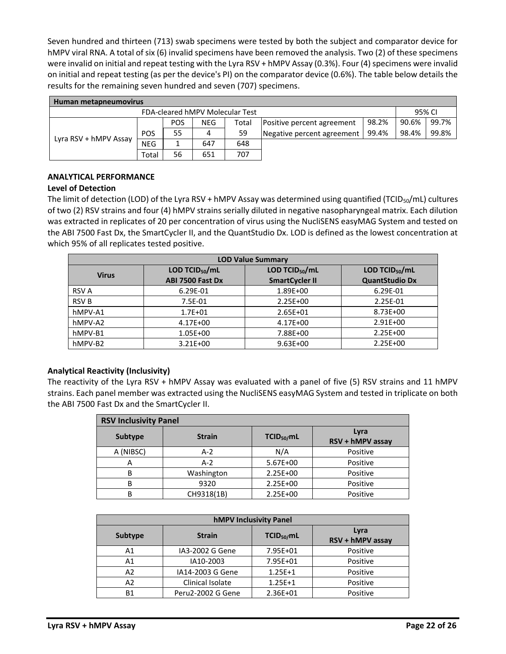Seven hundred and thirteen (713) swab specimens were tested by both the subject and comparator device for hMPV viral RNA. A total of six (6) invalid specimens have been removed the analysis. Two (2) of these specimens were invalid on initial and repeat testing with the Lyra RSV + hMPV Assay (0.3%). Four (4) specimens were invalid on initial and repeat testing (as per the device's PI) on the comparator device (0.6%). The table below details the results for the remaining seven hundred and seven (707) specimens.

| Human metapneumovirus                     |            |            |     |       |                            |       |       |       |  |  |
|-------------------------------------------|------------|------------|-----|-------|----------------------------|-------|-------|-------|--|--|
| FDA-cleared hMPV Molecular Test<br>95% CI |            |            |     |       |                            |       |       |       |  |  |
|                                           |            | <b>POS</b> | NEG | Total | Positive percent agreement | 98.2% | 90.6% | 99.7% |  |  |
|                                           | <b>POS</b> | 55         | 4   | 59    | Negative percent agreement | 99.4% | 98.4% | 99.8% |  |  |
| Lyra RSV + hMPV Assay                     | <b>NEG</b> |            | 647 | 648   |                            |       |       |       |  |  |
|                                           | Total      | 56         | 651 | 707   |                            |       |       |       |  |  |

# **ANALYTICAL PERFORMANCE**

## **Level of Detection**

The limit of detection (LOD) of the Lyra RSV + hMPV Assay was determined using quantified (TCID<sub>50</sub>/mL) cultures of two (2) RSV strains and four (4) hMPV strains serially diluted in negative nasopharyngeal matrix. Each dilution was extracted in replicates of 20 per concentration of virus using the NucliSENS easyMAG System and tested on the ABI 7500 Fast Dx, the SmartCycler II, and the QuantStudio Dx. LOD is defined as the lowest concentration at which 95% of all replicates tested positive.

| <b>LOD Value Summary</b> |                      |                       |                       |  |  |  |  |  |  |
|--------------------------|----------------------|-----------------------|-----------------------|--|--|--|--|--|--|
| <b>Virus</b>             | LOD TCID $_{50}$ /mL | LOD TCID $_{50}$ /mL  | LOD TCID $_{50}$ /mL  |  |  |  |  |  |  |
|                          | ABI 7500 Fast Dx     | <b>SmartCycler II</b> | <b>QuantStudio Dx</b> |  |  |  |  |  |  |
| <b>RSV A</b>             | 6.29E-01             | 1.89E+00              | 6.29E-01              |  |  |  |  |  |  |
| <b>RSV B</b>             | $7.5E-01$            | $2.25E + 00$          | 2.25E-01              |  |  |  |  |  |  |
| hMPV-A1                  | $1.7E + 01$          | 2.65E+01              | 8.73E+00              |  |  |  |  |  |  |
| hMPV-A2                  | 4.17E+00             | 4.17E+00              | $2.91E + 00$          |  |  |  |  |  |  |
| hMPV-B1                  | 1.05E+00             | 7.88E+00              | $2.25E + 00$          |  |  |  |  |  |  |
| hMPV-B2                  | $3.21E + 00$         | $9.63E + 00$          | 2.25E+00              |  |  |  |  |  |  |

## **Analytical Reactivity (Inclusivity)**

The reactivity of the Lyra RSV + hMPV Assay was evaluated with a panel of five (5) RSV strains and 11 hMPV strains. Each panel member was extracted using the NucliSENS easyMAG System and tested in triplicate on both the ABI 7500 Fast Dx and the SmartCycler II.

| <b>RSV Inclusivity Panel</b> |               |                        |                          |  |  |  |  |  |  |  |
|------------------------------|---------------|------------------------|--------------------------|--|--|--|--|--|--|--|
| Subtype                      | <b>Strain</b> | TCID <sub>50</sub> /mL | Lyra<br>RSV + hMPV assay |  |  |  |  |  |  |  |
| A (NIBSC)                    | $A-2$         | N/A                    | Positive                 |  |  |  |  |  |  |  |
| Α                            | $A-2$         | 5.67E+00               | Positive                 |  |  |  |  |  |  |  |
| В                            | Washington    | 2.25E+00               | Positive                 |  |  |  |  |  |  |  |
| В                            | 9320          | 2.25E+00               | Positive                 |  |  |  |  |  |  |  |
| В                            | CH9318(1B)    | 2.25E+00               | Positive                 |  |  |  |  |  |  |  |

| <b>hMPV Inclusivity Panel</b> |                   |                        |                          |  |  |  |  |  |  |  |
|-------------------------------|-------------------|------------------------|--------------------------|--|--|--|--|--|--|--|
| <b>Subtype</b>                | <b>Strain</b>     | TCID <sub>50</sub> /mL | Lyra<br>RSV + hMPV assay |  |  |  |  |  |  |  |
| A1                            | IA3-2002 G Gene   | 7.95E+01               | Positive                 |  |  |  |  |  |  |  |
| A1                            | IA10-2003         | 7.95E+01               | Positive                 |  |  |  |  |  |  |  |
| A2                            | IA14-2003 G Gene  | $1.25E+1$              | Positive                 |  |  |  |  |  |  |  |
| A2                            | Clinical Isolate  | $1.25E + 1$            | Positive                 |  |  |  |  |  |  |  |
| <b>B1</b>                     | Peru2-2002 G Gene | 2.36E+01               | Positive                 |  |  |  |  |  |  |  |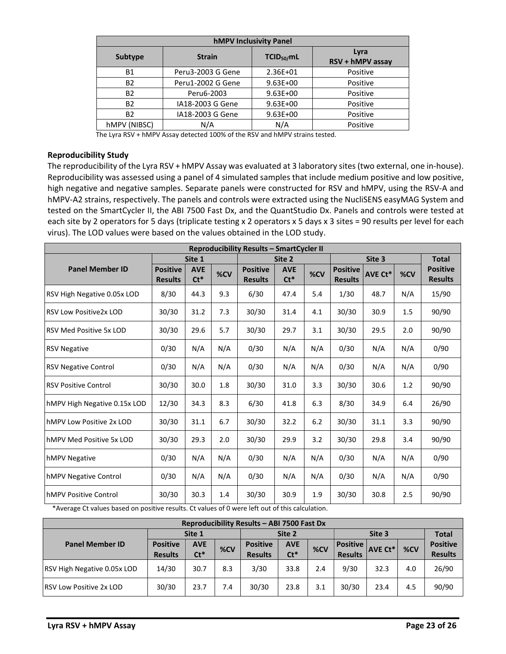| <b>hMPV Inclusivity Panel</b> |                   |                        |                          |  |  |  |  |  |  |
|-------------------------------|-------------------|------------------------|--------------------------|--|--|--|--|--|--|
| Subtype                       | <b>Strain</b>     | TCID <sub>50</sub> /mL | Lyra<br>RSV + hMPV assay |  |  |  |  |  |  |
| Β1                            | Peru3-2003 G Gene | 2.36E+01               | Positive                 |  |  |  |  |  |  |
| B2                            | Peru1-2002 G Gene | $9.63E + 00$           | Positive                 |  |  |  |  |  |  |
| B2                            | Peru6-2003        | $9.63E + 00$           | Positive                 |  |  |  |  |  |  |
| B2                            | IA18-2003 G Gene  | $9.63E + 00$           | Positive                 |  |  |  |  |  |  |
| B2                            | IA18-2003 G Gene  | $9.63E + 00$           | Positive                 |  |  |  |  |  |  |
| <b>hMPV (NIBSC)</b>           | N/A               | N/A                    | Positive                 |  |  |  |  |  |  |

The Lyra RSV + hMPV Assay detected 100% of the RSV and hMPV strains tested.

#### **Reproducibility Study**

The reproducibility of the Lyra RSV + hMPV Assay was evaluated at 3 laboratory sites (two external, one in‐house). Reproducibility was assessed using a panel of 4 simulated samples that include medium positive and low positive, high negative and negative samples. Separate panels were constructed for RSV and hMPV, using the RSV-A and hMPV‐A2 strains, respectively. The panels and controls were extracted using the NucliSENS easyMAG System and tested on the SmartCycler II, the ABI 7500 Fast Dx, and the QuantStudio Dx. Panels and controls were tested at each site by 2 operators for 5 days (triplicate testing x 2 operators x 5 days x 3 sites = 90 results per level for each virus). The LOD values were based on the values obtained in the LOD study.

| <b>Reproducibility Results - SmartCycler II</b> |                                   |                      |     |                                   |                      |     |                                   |         |     |                                   |
|-------------------------------------------------|-----------------------------------|----------------------|-----|-----------------------------------|----------------------|-----|-----------------------------------|---------|-----|-----------------------------------|
|                                                 |                                   | Site 1               |     |                                   | Site 2               |     |                                   | Site 3  |     |                                   |
| <b>Panel Member ID</b>                          | <b>Positive</b><br><b>Results</b> | <b>AVE</b><br>$Ct^*$ | %CV | <b>Positive</b><br><b>Results</b> | <b>AVE</b><br>$Ct^*$ | %CV | <b>Positive</b><br><b>Results</b> | AVE Ct* | %CV | <b>Positive</b><br><b>Results</b> |
| RSV High Negative 0.05x LOD                     | 8/30                              | 44.3                 | 9.3 | 6/30                              | 47.4                 | 5.4 | 1/30                              | 48.7    | N/A | 15/90                             |
| <b>RSV Low Positive 2x LOD</b>                  | 30/30                             | 31.2                 | 7.3 | 30/30                             | 31.4                 | 4.1 | 30/30                             | 30.9    | 1.5 | 90/90                             |
| <b>RSV Med Positive 5x LOD</b>                  | 30/30                             | 29.6                 | 5.7 | 30/30                             | 29.7                 | 3.1 | 30/30                             | 29.5    | 2.0 | 90/90                             |
| <b>RSV Negative</b>                             | 0/30                              | N/A                  | N/A | 0/30                              | N/A                  | N/A | 0/30                              | N/A     | N/A | 0/90                              |
| <b>RSV Negative Control</b>                     | 0/30                              | N/A                  | N/A | 0/30                              | N/A                  | N/A | 0/30                              | N/A     | N/A | 0/90                              |
| <b>RSV Positive Control</b>                     | 30/30                             | 30.0                 | 1.8 | 30/30                             | 31.0                 | 3.3 | 30/30                             | 30.6    | 1.2 | 90/90                             |
| hMPV High Negative 0.15x LOD                    | 12/30                             | 34.3                 | 8.3 | 6/30                              | 41.8                 | 6.3 | 8/30                              | 34.9    | 6.4 | 26/90                             |
| hMPV Low Positive 2x LOD                        | 30/30                             | 31.1                 | 6.7 | 30/30                             | 32.2                 | 6.2 | 30/30                             | 31.1    | 3.3 | 90/90                             |
| hMPV Med Positive 5x LOD                        | 30/30                             | 29.3                 | 2.0 | 30/30                             | 29.9                 | 3.2 | 30/30                             | 29.8    | 3.4 | 90/90                             |
| hMPV Negative                                   | 0/30                              | N/A                  | N/A | 0/30                              | N/A                  | N/A | 0/30                              | N/A     | N/A | 0/90                              |
| hMPV Negative Control                           | 0/30                              | N/A                  | N/A | 0/30                              | N/A                  | N/A | 0/30                              | N/A     | N/A | 0/90                              |
| hMPV Positive Control                           | 30/30                             | 30.3                 | 1.4 | 30/30                             | 30.9                 | 1.9 | 30/30                             | 30.8    | 2.5 | 90/90                             |

\*Average Ct values based on positive results. Ct values of 0 were left out of this calculation.

| Reproducibility Results - ABI 7500 Fast Dx |                                   |                      |     |                                   |                      |     |                                     |                |     |                                   |
|--------------------------------------------|-----------------------------------|----------------------|-----|-----------------------------------|----------------------|-----|-------------------------------------|----------------|-----|-----------------------------------|
|                                            | Site 1                            |                      |     | Site 2                            |                      |     | Site 3                              |                |     | <b>Total</b>                      |
| <b>Panel Member ID</b>                     | <b>Positive</b><br><b>Results</b> | <b>AVE</b><br>$Ct^*$ | %CV | <b>Positive</b><br><b>Results</b> | <b>AVE</b><br>$Ct^*$ | %CV | <b>Positive</b> I<br><b>Results</b> | <b>AVE Ct*</b> | %CV | <b>Positive</b><br><b>Results</b> |
| RSV High Negative 0.05x LOD                | 14/30                             | 30.7                 | 8.3 | 3/30                              | 33.8                 | 2.4 | 9/30                                | 32.3           | 4.0 | 26/90                             |
| <b>RSV Low Positive 2x LOD</b>             | 30/30                             | 23.7                 | 7.4 | 30/30                             | 23.8                 | 3.1 | 30/30                               | 23.4           | 4.5 | 90/90                             |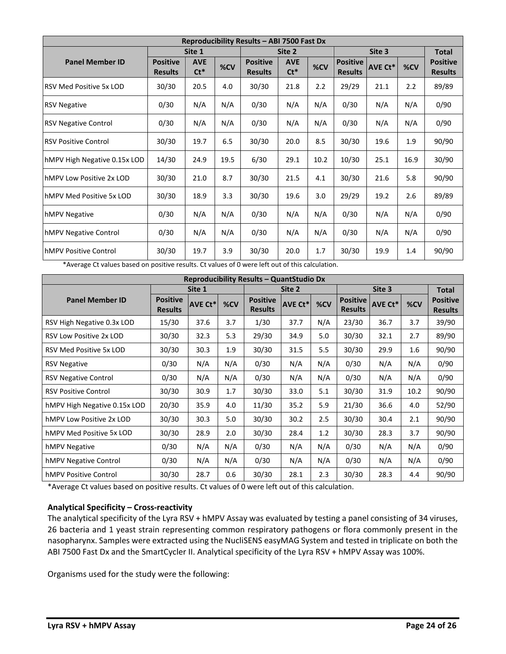| Reproducibility Results - ABI 7500 Fast Dx |                                   |                      |      |                                   |                      |                  |                                   |         |      |                                   |
|--------------------------------------------|-----------------------------------|----------------------|------|-----------------------------------|----------------------|------------------|-----------------------------------|---------|------|-----------------------------------|
|                                            | Site 1                            |                      |      | Site 2                            |                      |                  | Site 3                            |         |      | <b>Total</b>                      |
| <b>Panel Member ID</b>                     | <b>Positive</b><br><b>Results</b> | <b>AVE</b><br>$Ct^*$ | %CV  | <b>Positive</b><br><b>Results</b> | <b>AVE</b><br>$Ct^*$ | %CV              | <b>Positive</b><br><b>Results</b> | AVE Ct* | %CV  | <b>Positive</b><br><b>Results</b> |
| <b>RSV Med Positive 5x LOD</b>             | 30/30                             | 20.5                 | 4.0  | 30/30                             | 21.8                 | $2.2\phantom{0}$ | 29/29                             | 21.1    | 2.2  | 89/89                             |
| <b>RSV Negative</b>                        | 0/30                              | N/A                  | N/A  | 0/30                              | N/A                  | N/A              | 0/30                              | N/A     | N/A  | 0/90                              |
| <b>RSV Negative Control</b>                | 0/30                              | N/A                  | N/A  | 0/30                              | N/A                  | N/A              | 0/30                              | N/A     | N/A  | 0/90                              |
| <b>RSV Positive Control</b>                | 30/30                             | 19.7                 | 6.5  | 30/30                             | 20.0                 | 8.5              | 30/30                             | 19.6    | 1.9  | 90/90                             |
| hMPV High Negative 0.15x LOD               | 14/30                             | 24.9                 | 19.5 | 6/30                              | 29.1                 | 10.2             | 10/30                             | 25.1    | 16.9 | 30/90                             |
| hMPV Low Positive 2x LOD                   | 30/30                             | 21.0                 | 8.7  | 30/30                             | 21.5                 | 4.1              | 30/30                             | 21.6    | 5.8  | 90/90                             |
| hMPV Med Positive 5x LOD                   | 30/30                             | 18.9                 | 3.3  | 30/30                             | 19.6                 | 3.0              | 29/29                             | 19.2    | 2.6  | 89/89                             |
| hMPV Negative                              | 0/30                              | N/A                  | N/A  | 0/30                              | N/A                  | N/A              | 0/30                              | N/A     | N/A  | 0/90                              |
| hMPV Negative Control                      | 0/30                              | N/A                  | N/A  | 0/30                              | N/A                  | N/A              | 0/30                              | N/A     | N/A  | 0/90                              |
| <b>hMPV Positive Control</b>               | 30/30                             | 19.7                 | 3.9  | 30/30                             | 20.0                 | 1.7              | 30/30                             | 19.9    | 1.4  | 90/90                             |

\*Average Ct values based on positive results. Ct values of 0 were left out of this calculation.

| Reproducibility Results - QuantStudio Dx |                                   |                |        |                                   |                |        |                                   |                |              |                                   |
|------------------------------------------|-----------------------------------|----------------|--------|-----------------------------------|----------------|--------|-----------------------------------|----------------|--------------|-----------------------------------|
|                                          | Site 1                            |                | Site 2 |                                   |                | Site 3 |                                   |                | <b>Total</b> |                                   |
| <b>Panel Member ID</b>                   | <b>Positive</b><br><b>Results</b> | <b>AVE Ct*</b> | %CV    | <b>Positive</b><br><b>Results</b> | <b>AVE Ct*</b> | %CV    | <b>Positive</b><br><b>Results</b> | <b>AVE Ct*</b> | %CV          | <b>Positive</b><br><b>Results</b> |
| RSV High Negative 0.3x LOD               | 15/30                             | 37.6           | 3.7    | 1/30                              | 37.7           | N/A    | 23/30                             | 36.7           | 3.7          | 39/90                             |
| <b>RSV Low Positive 2x LOD</b>           | 30/30                             | 32.3           | 5.3    | 29/30                             | 34.9           | 5.0    | 30/30                             | 32.1           | 2.7          | 89/90                             |
| RSV Med Positive 5x LOD                  | 30/30                             | 30.3           | 1.9    | 30/30                             | 31.5           | 5.5    | 30/30                             | 29.9           | $1.6\,$      | 90/90                             |
| <b>RSV Negative</b>                      | 0/30                              | N/A            | N/A    | 0/30                              | N/A            | N/A    | 0/30                              | N/A            | N/A          | 0/90                              |
| <b>RSV Negative Control</b>              | 0/30                              | N/A            | N/A    | 0/30                              | N/A            | N/A    | 0/30                              | N/A            | N/A          | 0/90                              |
| <b>RSV Positive Control</b>              | 30/30                             | 30.9           | 1.7    | 30/30                             | 33.0           | 5.1    | 30/30                             | 31.9           | 10.2         | 90/90                             |
| hMPV High Negative 0.15x LOD             | 20/30                             | 35.9           | 4.0    | 11/30                             | 35.2           | 5.9    | 21/30                             | 36.6           | 4.0          | 52/90                             |
| hMPV Low Positive 2x LOD                 | 30/30                             | 30.3           | 5.0    | 30/30                             | 30.2           | 2.5    | 30/30                             | 30.4           | 2.1          | 90/90                             |
| hMPV Med Positive 5x LOD                 | 30/30                             | 28.9           | 2.0    | 30/30                             | 28.4           | 1.2    | 30/30                             | 28.3           | 3.7          | 90/90                             |
| hMPV Negative                            | 0/30                              | N/A            | N/A    | 0/30                              | N/A            | N/A    | 0/30                              | N/A            | N/A          | 0/90                              |
| <b>hMPV Negative Control</b>             | 0/30                              | N/A            | N/A    | 0/30                              | N/A            | N/A    | 0/30                              | N/A            | N/A          | 0/90                              |
| <b>hMPV Positive Control</b>             | 30/30                             | 28.7           | 0.6    | 30/30                             | 28.1           | 2.3    | 30/30                             | 28.3           | 4.4          | 90/90                             |

\*Average Ct values based on positive results. Ct values of 0 were left out of this calculation.

## **Analytical Specificity – Cross-reactivity**

The analytical specificity of the Lyra RSV + hMPV Assay was evaluated by testing a panel consisting of 34 viruses, 26 bacteria and 1 yeast strain representing common respiratory pathogens or flora commonly present in the nasopharynx. Samples were extracted using the NucliSENS easyMAG System and tested in triplicate on both the ABI 7500 Fast Dx and the SmartCycler II. Analytical specificity of the Lyra RSV + hMPV Assay was 100%.

Organisms used for the study were the following: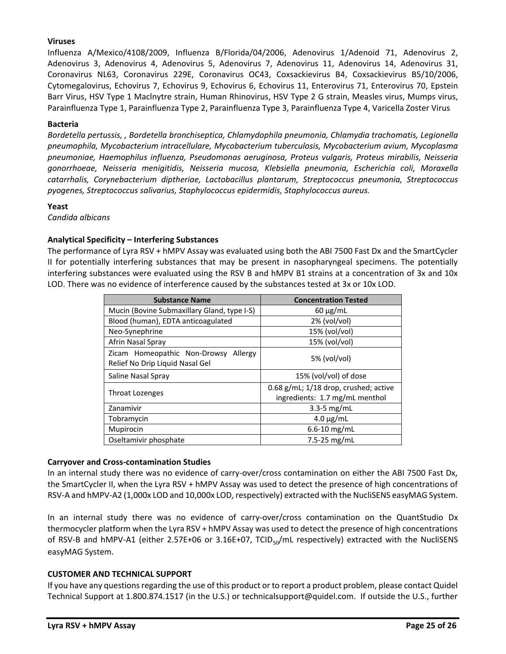# **Viruses**

Influenza A/Mexico/4108/2009, Influenza B/Florida/04/2006, Adenovirus 1/Adenoid 71, Adenovirus 2, Adenovirus 3, Adenovirus 4, Adenovirus 5, Adenovirus 7, Adenovirus 11, Adenovirus 14, Adenovirus 31, Coronavirus NL63, Coronavirus 229E, Coronavirus OC43, Coxsackievirus B4, Coxsackievirus B5/10/2006, Cytomegalovirus, Echovirus 7, Echovirus 9, Echovirus 6, Echovirus 11, Enterovirus 71, Enterovirus 70, Epstein Barr Virus, HSV Type 1 Maclnytre strain, Human Rhinovirus, HSV Type 2 G strain, Measles virus, Mumps virus, Parainfluenza Type 1, Parainfluenza Type 2, Parainfluenza Type 3, Parainfluenza Type 4, Varicella Zoster Virus

### **Bacteria**

*Bordetella pertussis, , Bordetella bronchiseptica, Chlamydophila pneumonia, Chlamydia trachomatis, Legionella pneumophila, Mycobacterium intracellulare, Mycobacterium tuberculosis, Mycobacterium avium, Mycoplasma pneumoniae, Haemophilus influenza, Pseudomonas aeruginosa, Proteus vulgaris, Proteus mirabilis, Neisseria gonorrhoeae, Neisseria menigitidis, Neisseria mucosa, Klebsiella pneumonia, Escherichia coli, Moraxella catarrhalis, Corynebacterium diptheriae, Lactobacillus plantarum, Streptococcus pneumonia, Streptococcus pyogenes, Streptococcus salivarius, Staphylococcus epidermidis, Staphylococcus aureus.*

### **Yeast**

*Candida albicans*

## **Analytical Specificity – Interfering Substances**

The performance of Lyra RSV + hMPV Assay was evaluated using both the ABI 7500 Fast Dx and the SmartCycler II for potentially interfering substances that may be present in nasopharyngeal specimens. The potentially interfering substances were evaluated using the RSV B and hMPV B1 strains at a concentration of 3x and 10x LOD. There was no evidence of interference caused by the substances tested at 3x or 10x LOD.

| <b>Substance Name</b>                                                      | <b>Concentration Tested</b>                                             |
|----------------------------------------------------------------------------|-------------------------------------------------------------------------|
| Mucin (Bovine Submaxillary Gland, type I-S)                                | $60 \mu g/mL$                                                           |
| Blood (human), EDTA anticoagulated                                         | 2% (vol/vol)                                                            |
| Neo-Synephrine                                                             | 15% (vol/vol)                                                           |
| Afrin Nasal Spray                                                          | 15% (vol/vol)                                                           |
| Zicam Homeopathic Non-Drowsy<br>Allergy<br>Relief No Drip Liquid Nasal Gel | $5%$ (vol/vol)                                                          |
| Saline Nasal Spray                                                         | 15% (vol/vol) of dose                                                   |
| Throat Lozenges                                                            | 0.68 g/mL; 1/18 drop, crushed; active<br>ingredients: 1.7 mg/mL menthol |
| Zanamivir                                                                  | $3.3 - 5$ mg/mL                                                         |
| Tobramycin                                                                 | $4.0 \mu g/mL$                                                          |
| Mupirocin                                                                  | $6.6 - 10$ mg/mL                                                        |
| Oseltamivir phosphate                                                      | 7.5-25 $mg/mL$                                                          |

## **Carryover and Cross-contamination Studies**

In an internal study there was no evidence of carry-over/cross contamination on either the ABI 7500 Fast Dx, the SmartCycler II, when the Lyra RSV + hMPV Assay was used to detect the presence of high concentrations of RSV‐A and hMPV‐A2 (1,000x LOD and 10,000x LOD, respectively) extracted with the NucliSENS easyMAG System.

In an internal study there was no evidence of carry-over/cross contamination on the QuantStudio Dx thermocycler platform when the Lyra RSV + hMPV Assay was used to detect the presence of high concentrations of RSV-B and hMPV-A1 (either 2.57E+06 or 3.16E+07, TCID<sub>50</sub>/mL respectively) extracted with the NucliSENS easyMAG System.

## **CUSTOMER AND TECHNICAL SUPPORT**

If you have any questions regarding the use of this product or to report a product problem, please contact Quidel Technical Support at 1.800.874.1517 (in the U.S.) or technicalsupport@quidel.com. If outside the U.S., further